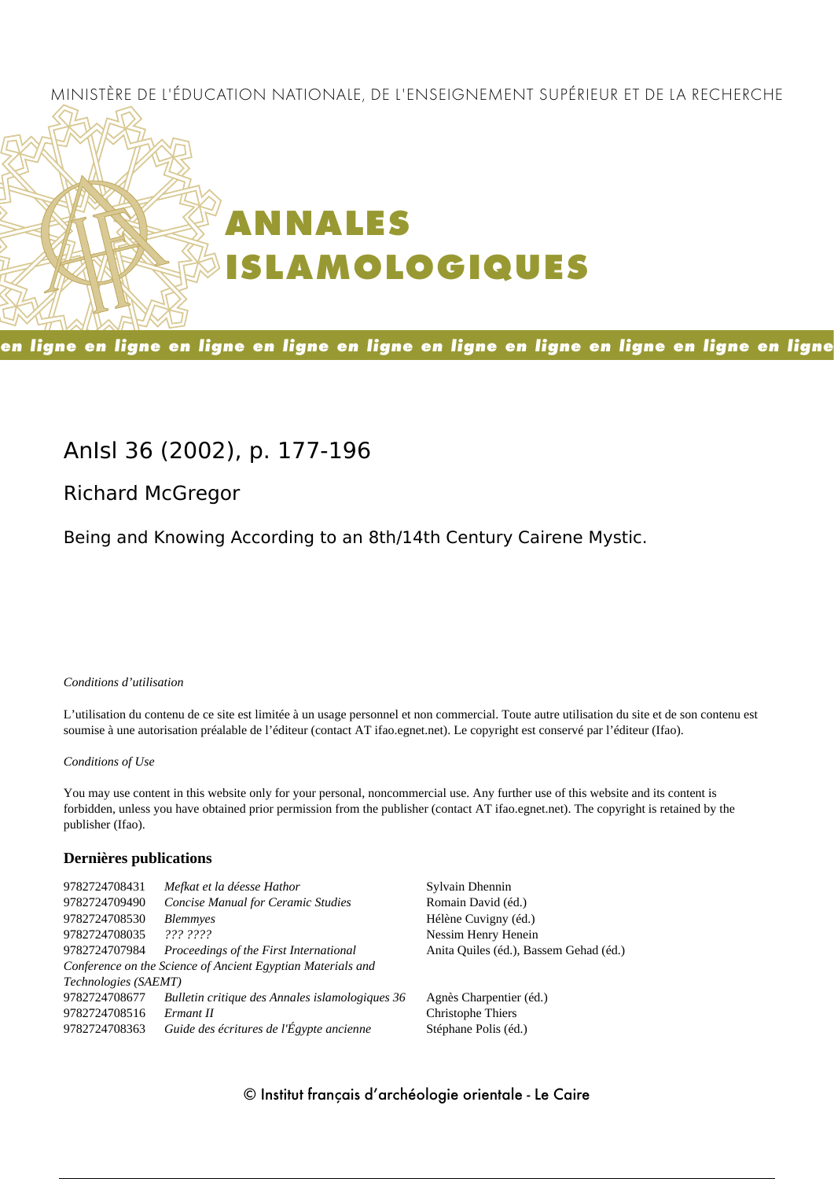### MINISTÈRE DE L'ÉDUCATION NATIONALE, DE L'ENSEIGNEMENT SUPÉRIEUR ET DE LA RECHERCHE



en ligne en ligne en ligne en ligne en ligne en ligne en ligne en ligne en ligne en ligne

## **AnIsl 36 (2002), p. 177-196**

## **Richard McGregor**

Being and Knowing According to an 8th/14th Century Cairene Mystic.

### *Conditions d'utilisation*

L'utilisation du contenu de ce site est limitée à un usage personnel et non commercial. Toute autre utilisation du site et de son contenu est soumise à une autorisation préalable de l'éditeur (contact AT ifao.egnet.net). Le copyright est conservé par l'éditeur (Ifao).

### *Conditions of Use*

You may use content in this website only for your personal, noncommercial use. Any further use of this website and its content is forbidden, unless you have obtained prior permission from the publisher (contact AT ifao.egnet.net). The copyright is retained by the publisher (Ifao).

### **Dernières publications**

| 9782724708431        | Mefkat et la déesse Hathor                                  | Sylvain Dhennin                        |
|----------------------|-------------------------------------------------------------|----------------------------------------|
| 9782724709490        | <b>Concise Manual for Ceramic Studies</b>                   | Romain David (éd.)                     |
| 9782724708530        | <i>Blemmyes</i>                                             | Hélène Cuvigny (éd.)                   |
| 9782724708035        | 222.2222                                                    | Nessim Henry Henein                    |
| 9782724707984        | Proceedings of the First International                      | Anita Quiles (éd.), Bassem Gehad (éd.) |
|                      | Conference on the Science of Ancient Egyptian Materials and |                                        |
| Technologies (SAEMT) |                                                             |                                        |
| 9782724708677        | Bulletin critique des Annales islamologiques 36             | Agnès Charpentier (éd.)                |
| 9782724708516        | Ermant II                                                   | Christophe Thiers                      |
| 9782724708363        | Guide des écritures de l'Égypte ancienne                    | Stéphane Polis (éd.)                   |
|                      |                                                             |                                        |

### © Institut français d'archéologie orientale - Le Caire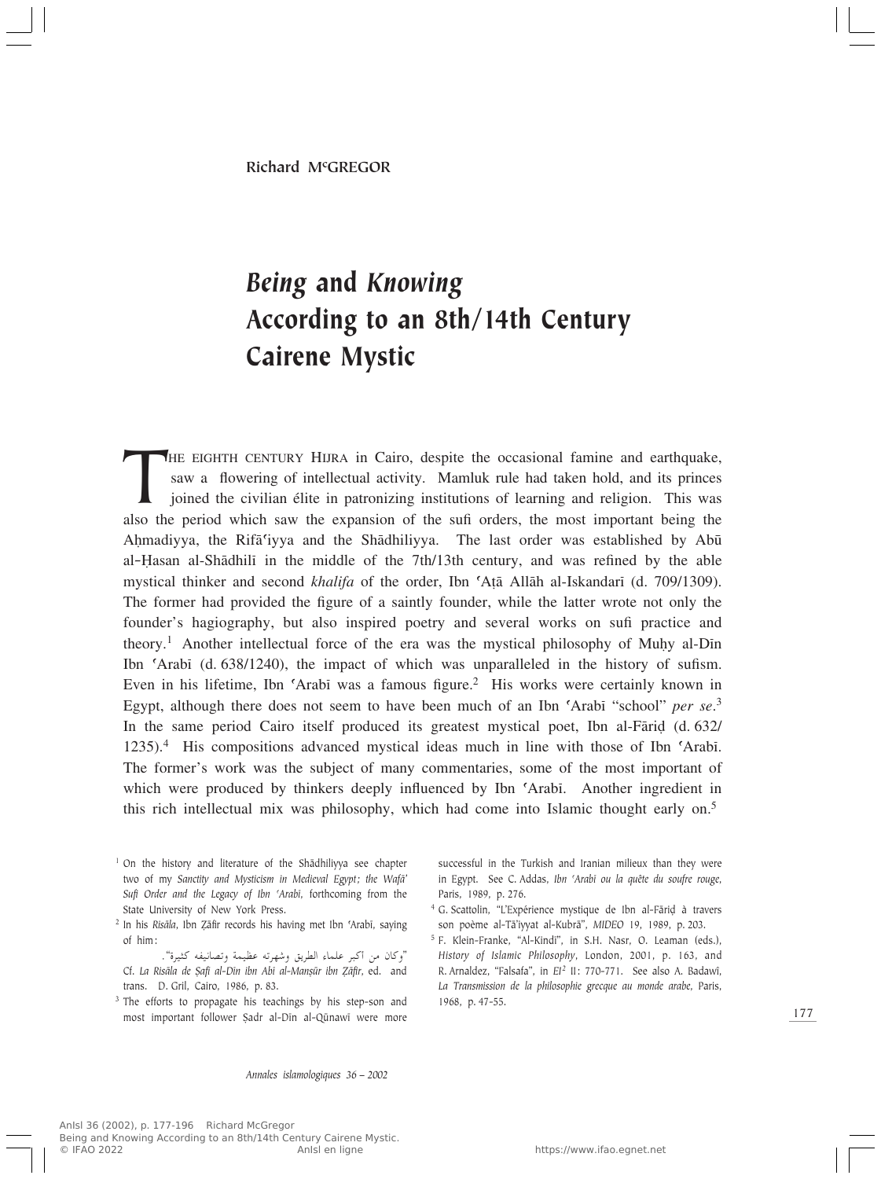# *Being* and *Knowing* According to an 8th/14th Century Cairene Mystic

THE EIGHTH CENTURY HIJRA in Cairo, despite the occasional famine and earthquake, saw a flowering of intellectual activity. Mamluk rule had taken hold, and its princes joined the civilian élite in patronizing institutions o saw a flowering of intellectual activity. Mamluk rule had taken hold, and its princes joined the civilian élite in patronizing institutions of learning and religion. This was also the period which saw the expansion of the sufi orders, the most important being the Ahmadiyya, the Rifa<sup>c</sup>iyya and the Shadhiliyya. The last order was established by Abu al-Îasan al-Shædhilî in the middle of the 7th/13th century, and was refined by the able mystical thinker and second *khalifa* of the order, Ibn 'Atā Allāh al-Iskandarī (d. 709/1309). The former had provided the figure of a saintly founder, while the latter wrote not only the founder's hagiography, but also inspired poetry and several works on sufi practice and theory.<sup>1</sup> Another intellectual force of the era was the mystical philosophy of Muhy al-Din Ibn ©Arabî (d. 638/1240), the impact of which was unparalleled in the history of sufism. Even in his lifetime, Ibn ©Arabî was a famous figure.2 His works were certainly known in Egypt, although there does not seem to have been much of an Ibn ©Arabî "school" *per se*. 3 In the same period Cairo itself produced its greatest mystical poet, Ibn al-Fārid (d. 632/ 1235).4 His compositions advanced mystical ideas much in line with those of Ibn ©Arabî. The former's work was the subject of many commentaries, some of the most important of which were produced by thinkers deeply influenced by Ibn 'Arabī. Another ingredient in this rich intellectual mix was philosophy, which had come into Islamic thought early on.5

- <sup>1</sup> On the history and literature of the Shādhiliyya see chapter two of my *Sanctity and Mysticism in Medieval Egypt; the Wafæ' Sufi Order and the Legacy of Ibn ©Arabî*, forthcoming from the State University of New York Press.
- <sup>2</sup> In his *Risāla*, Ibn Zāfir records his having met Ibn 'Arabī, saying of him:
- "وكان من أكبر علماء الطريق وشهرته عظيمة وتصانيفه كثيرة".<br>استخدام معتقد المرتبة بالمعانية المركبة المركبة عامر المركبة. Cf. *La Risæla de ∑afî al-Dîn ibn Abî al-ManÒºr ibn Åæfir*, ed. and trans. D. Gril, Cairo, 1986, p. 83.
- <sup>3</sup> The efforts to propagate his teachings by his step-son and most important follower Şadr al-Dīn al-Qūnawī were more

successful in the Turkish and Iranian milieux than they were in Egypt. See C. Addas, *Ibn 'Arabī ou la quête du soufre rouge*, Paris, 1989, p. 276.

- <sup>4</sup> G. Scattolin, "L'Expérience mystique de Ibn al-Fāriḍ à travers son poème al-Tæ'iyyat al-Kubræ", *MIDEO* 19, 1989, p. 203.
- <sup>5</sup> F. Klein-Franke, "Al-Kindî", in S.H. Nasr, O. Leaman (eds.), *History of Islamic Philosophy*, London, 2001, p. 163, and R. Arnaldez, "Falsafa", in *EI*<sup>2</sup> II: 770-771. See also A. Badawî, *La Transmission de la philosophie grecque au monde arabe*, Paris, 1968, p. 47-55.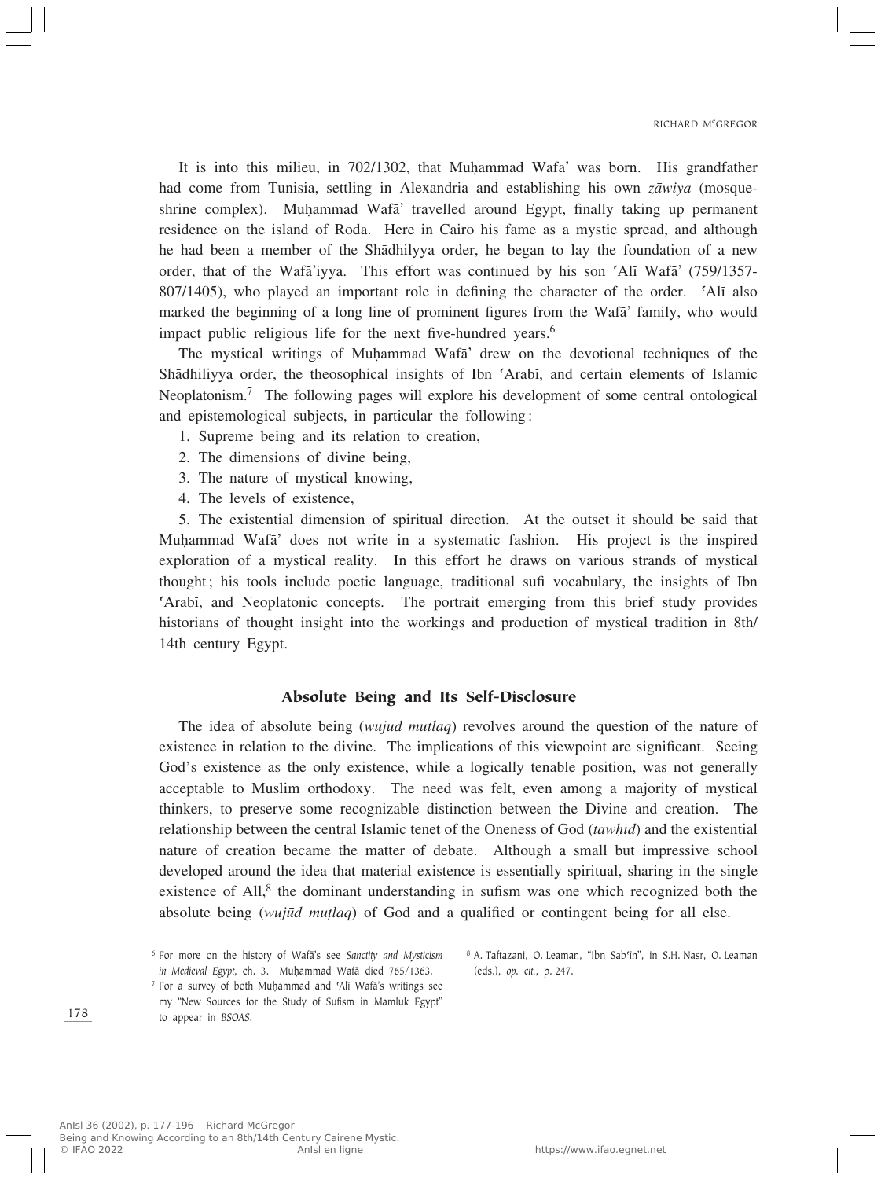It is into this milieu, in 702/1302, that Muhammad Wafa' was born. His grandfather had come from Tunisia, settling in Alexandria and establishing his own *zæwiya* (mosqueshrine complex). Muhammad Wafa' travelled around Egypt, finally taking up permanent residence on the island of Roda. Here in Cairo his fame as a mystic spread, and although he had been a member of the Shædhilyya order, he began to lay the foundation of a new order, that of the Wafæ'iyya. This effort was continued by his son ©Alî Wafæ' (759/1357- 807/1405), who played an important role in defining the character of the order. CAli also marked the beginning of a long line of prominent figures from the Wafæ' family, who would impact public religious life for the next five-hundred years.<sup>6</sup>

The mystical writings of Muhammad Wafa' drew on the devotional techniques of the Shædhiliyya order, the theosophical insights of Ibn ©Arabî, and certain elements of Islamic Neoplatonism.7 The following pages will explore his development of some central ontological and epistemological subjects, in particular the following:

- 1. Supreme being and its relation to creation,
- 2. The dimensions of divine being,
- 3. The nature of mystical knowing,
- 4. The levels of existence,

5. The existential dimension of spiritual direction. At the outset it should be said that Muhammad Wafa<sup>'</sup> does not write in a systematic fashion. His project is the inspired exploration of a mystical reality. In this effort he draws on various strands of mystical thought; his tools include poetic language, traditional sufi vocabulary, the insights of Ibn ©Arabî, and Neoplatonic concepts. The portrait emerging from this brief study provides historians of thought insight into the workings and production of mystical tradition in 8th/ 14th century Egypt.

### Absolute Being and Its Self-Disclosure

The idea of absolute being *(wujūd mutlaq)* revolves around the question of the nature of existence in relation to the divine. The implications of this viewpoint are significant. Seeing God's existence as the only existence, while a logically tenable position, was not generally acceptable to Muslim orthodoxy. The need was felt, even among a majority of mystical thinkers, to preserve some recognizable distinction between the Divine and creation. The relationship between the central Islamic tenet of the Oneness of God (*tawhid*) and the existential nature of creation became the matter of debate. Although a small but impressive school developed around the idea that material existence is essentially spiritual, sharing in the single existence of All,<sup>8</sup> the dominant understanding in sufism was one which recognized both the absolute being (*wujūd mutlaq*) of God and a qualified or contingent being for all else.

- $7$  For a survey of both Muḥammad and 'Alī Wafā's writings see my "New Sources for the Study of Sufism in Mamluk Egypt" to appear in *BSOAS*.
- 8 A. Taftazani, O. Leaman, "Ibn Sab'īn", in S.H. Nasr, O. Leaman (eds.), *op. cit.*, p. 247.

<sup>6</sup> For more on the history of Wafæ's see *Sanctity and Mysticism in Medieval Egypt*, ch. 3. Muhammad Wafā died 765/1363.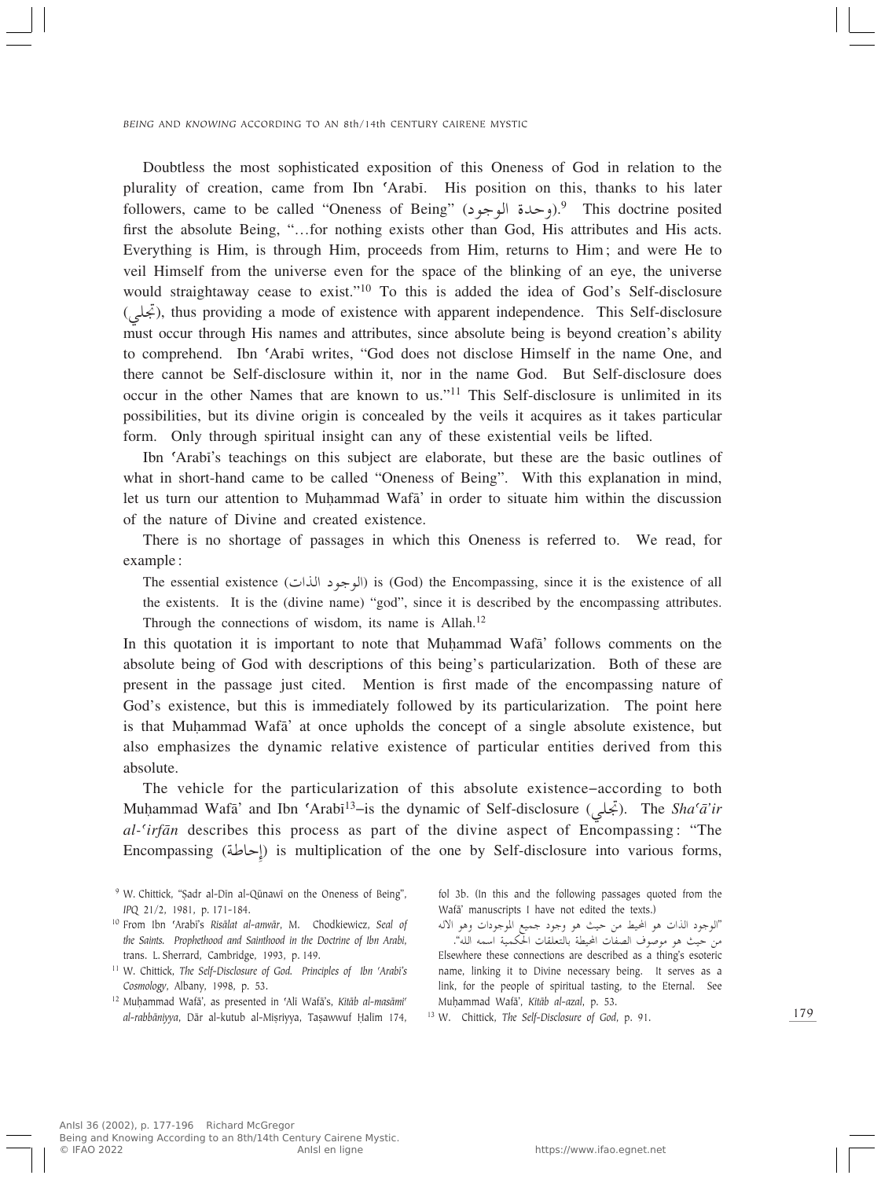Doubtless the most sophisticated exposition of this Oneness of God in relation to the plurality of creation, came from Ibn ©Arabî. His position on this, thanks to his later followers, came to be called "Oneness of Being" (وحدة الوجود).<sup>9</sup> This doctrine posited first the absolute Being, "…for nothing exists other than God, His attributes and His acts. Everything is Him, is through Him, proceeds from Him, returns to Him; and were He to veil Himself from the universe even for the space of the blinking of an eye, the universe would straightaway cease to exist."10 To this is added the idea of God's Self-disclosure (جَمَلَى), thus providing a mode of existence with apparent independence. This Self-disclosure must occur through His names and attributes, since absolute being is beyond creation's ability to comprehend. Ibn ©Arabî writes, "God does not disclose Himself in the name One, and there cannot be Self-disclosure within it, nor in the name God. But Self-disclosure does occur in the other Names that are known to us."<sup>11</sup> This Self-disclosure is unlimited in its possibilities, but its divine origin is concealed by the veils it acquires as it takes particular form. Only through spiritual insight can any of these existential veils be lifted.

Ibn ©Arabî's teachings on this subject are elaborate, but these are the basic outlines of what in short-hand came to be called "Oneness of Being". With this explanation in mind, let us turn our attention to Muhammad Wafa' in order to situate him within the discussion of the nature of Divine and created existence.

There is no shortage of passages in which this Oneness is referred to. We read, for example:

The essential existence (الوجود الذات) is (God) the Encompassing, since it is the existence of all the existents. It is the (divine name) "god", since it is described by the encompassing attributes. Through the connections of wisdom, its name is Allah.<sup>12</sup>

In this quotation it is important to note that Muhammad Wafa' follows comments on the absolute being of God with descriptions of this being's particularization. Both of these are present in the passage just cited. Mention is first made of the encompassing nature of God's existence, but this is immediately followed by its particularization. The point here is that Muhammad Wafa' at once upholds the concept of a single absolute existence, but also emphasizes the dynamic relative existence of particular entities derived from this absolute.

The vehicle for the particularization of this absolute existence–according to both Muḥammad Wafā' and Ibn 'Arabī<sup>13</sup>–is the dynamic of Self-disclosure (جَملي). The *Sha'ā'ir al-©irfæn* describes this process as part of the divine aspect of Encompassing: "The Encompassing (إحاطة) is multiplication of the one by Self-disclosure into various forms,

- <sup>9</sup> W. Chittick, "Sadr al-Dīn al-Qūnawī on the Oneness of Being", *IPQ* 21/2, 1981, p. 171-184.
- <sup>10</sup> From Ibn ©Arabî's *Risælat al-anwær*, M. Chodkiewicz, *Seal of the Saints. Prophethood and Sainthood in the Doctrine of Ibn Arabi*, trans. L. Sherrard, Cambridge, 1993, p. 149.
- <sup>11</sup> W. Chittick, *The Self-Disclosure of God. Principles of <i>Ibn 'Arabi's Cosmology*, Albany, 1998, p. 53.
- <sup>12</sup> Muhammad Wafā', as presented in 'Alī Wafā's, *Kitāb al-masāmi*<sup>c</sup> *al-rabbāniyya*, Dār al-kutub al-Mişriyya, Taşawwuf Halīm 174,

fol 3b. (In this and the following passages quoted from the Wafā' manuscripts I have not edited the texts.)

tô« u¼Ë «œułu\*« lOLł œułË u¼ YOŠ s- jO;« u¼ «c« œułu«" ."tK« tLÝ« WOLJ(« UIKF²UÐ WDO;« UHB« ·uu- u¼ YOŠ s- Elsewhere these connections are described as a thing's esoteric name, linking it to Divine necessary being. It serves as a link, for the people of spiritual tasting, to the Eternal. See MuÌammad Wafæ', *Kitæb al-azal*, p. 53.

<sup>13</sup> W. Chittick, *The Self-Disclosure of God*, p. 91.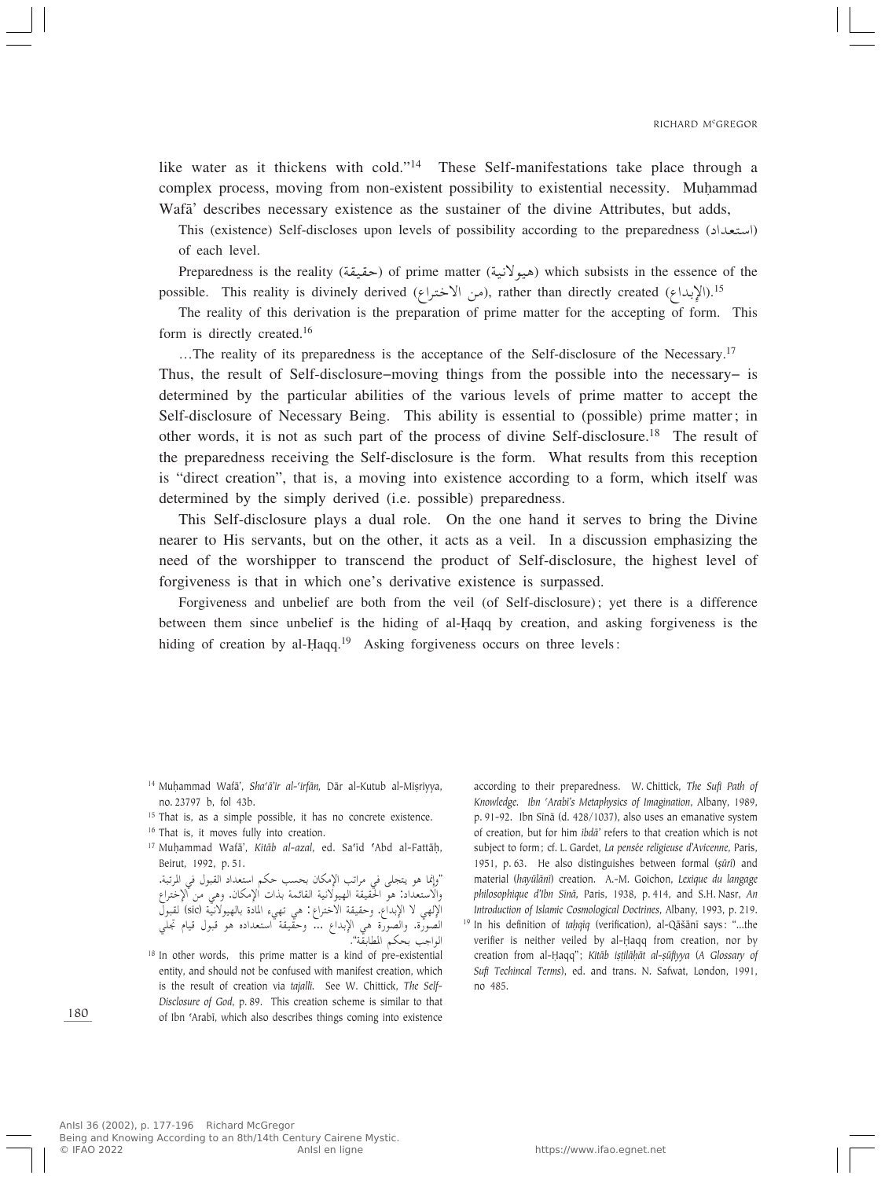like water as it thickens with cold."<sup>14</sup> These Self-manifestations take place through a complex process, moving from non-existent possibility to existential necessity. Muhammad Wafa' describes necessary existence as the sustainer of the divine Attributes, but adds,

This (existence) Self-discloses upon levels of possibility according to the preparedness (استعداد) of each level.

Preparedness is the reality (حقيقة) of prime matter (حيوفانية) which subsists in the essence of the possible. This reality is divinely derived (في الاختراع), rather than directly created (إبداع).<sup>15</sup><br>The reality of this derivation is the association of gains watter for the association of farm.

The reality of this derivation is the preparation of prime matter for the accepting of form. This form is directly created.<sup>16</sup>

...The reality of its preparedness is the acceptance of the Self-disclosure of the Necessary.<sup>17</sup>

Thus, the result of Self-disclosure–moving things from the possible into the necessary– is determined by the particular abilities of the various levels of prime matter to accept the Self-disclosure of Necessary Being. This ability is essential to (possible) prime matter; in other words, it is not as such part of the process of divine Self-disclosure.18 The result of the preparedness receiving the Self-disclosure is the form. What results from this reception is "direct creation", that is, a moving into existence according to a form, which itself was determined by the simply derived (i.e. possible) preparedness.

This Self-disclosure plays a dual role. On the one hand it serves to bring the Divine nearer to His servants, but on the other, it acts as a veil. In a discussion emphasizing the need of the worshipper to transcend the product of Self-disclosure, the highest level of forgiveness is that in which one's derivative existence is surpassed.

Forgiveness and unbelief are both from the veil (of Self-disclosure); yet there is a difference between them since unbelief is the hiding of al-Îaqq by creation, and asking forgiveness is the hiding of creation by al-Haqq.<sup>19</sup> Asking forgiveness occurs on three levels:

<sup>15</sup> That is, as a simple possible, it has no concrete existence.

<sup>16</sup> That is, it moves fully into creation.

<sup>17</sup> Muhammad Wafā', *Kitāb al-azal*, ed. Sa'īd 'Abd al-Fattāḥ, Beirut, 1992, p. 51.

"وإنما هو يتجلى في مراتب الإمكان بحسب حكم استعداد القبول في المرتبة.<br>بالأ والاستعداد: هو الحقيقة الهيولانية القائمة بذات الإمكان. وهي من الإختراع<br>إلا سلطنا العالمية عن العديد بين العالمية العالمية العالمية ( : ) من الإِلهي لا الإبداع. وحقيقة الاختراع: هي تهيء المادة بالهيولانيّة (sic) لقبولّ الصورة. والصورة هي الإبداع ... وحقيقة استعداده هو قبول قيام تجلي<br>" " الواجب بحكم المطابقة".<br><sup>8</sup> In other words, this prime matter is a kind of pre-existential

entity, and should not be confused with manifest creation, which is the result of creation via *tajallî.* See W. Chittick, *The Self-Disclosure of God*, p. 89. This creation scheme is similar to that of Ibn ©Arabî, which also describes things coming into existence

according to their preparedness. W. Chittick, *The Sufi Path of Knowledge. Ibn ©Arabî's Metaphysics of Imagination*, Albany, 1989, p. 91-92. Ibn Sînæ (d. 428/1037), also uses an emanative system of creation, but for him *ibdæ'* refers to that creation which is not subject to form; cf. L. Gardet, *La pensée religieuse d'Avicenne*, Paris, 1951, p. 63. He also distinguishes between formal (*sūrī*) and material (hayūlānī) creation. A.-M. Goichon, Lexique du langage *philosophique d'Ibn Sînæ,* Paris, 1938, p. 414, and S.H. Nasr, *An Introduction of Islamic Cosmological Doctrines*, Albany, 1993, p. 219. <sup>19</sup> In his definition of *taḥqīq* (verification), al-Qāšānī says: "...the verifier is neither veiled by al-Haqq from creation, nor by creation from al-Ḥaqq"; *Kitāb iṣṭilāḥāt al-ṣūfiyya* (A Glossary of *Sufi Techincal Terms*), ed. and trans. N. Safwat, London, 1991, no 485.

180

<sup>&</sup>lt;sup>14</sup> Muhammad Wafā', *Sha'ā'ir al-'irfān*, Dār al-Kutub al-Miṣriyya, no. 23797 b, fol 43b.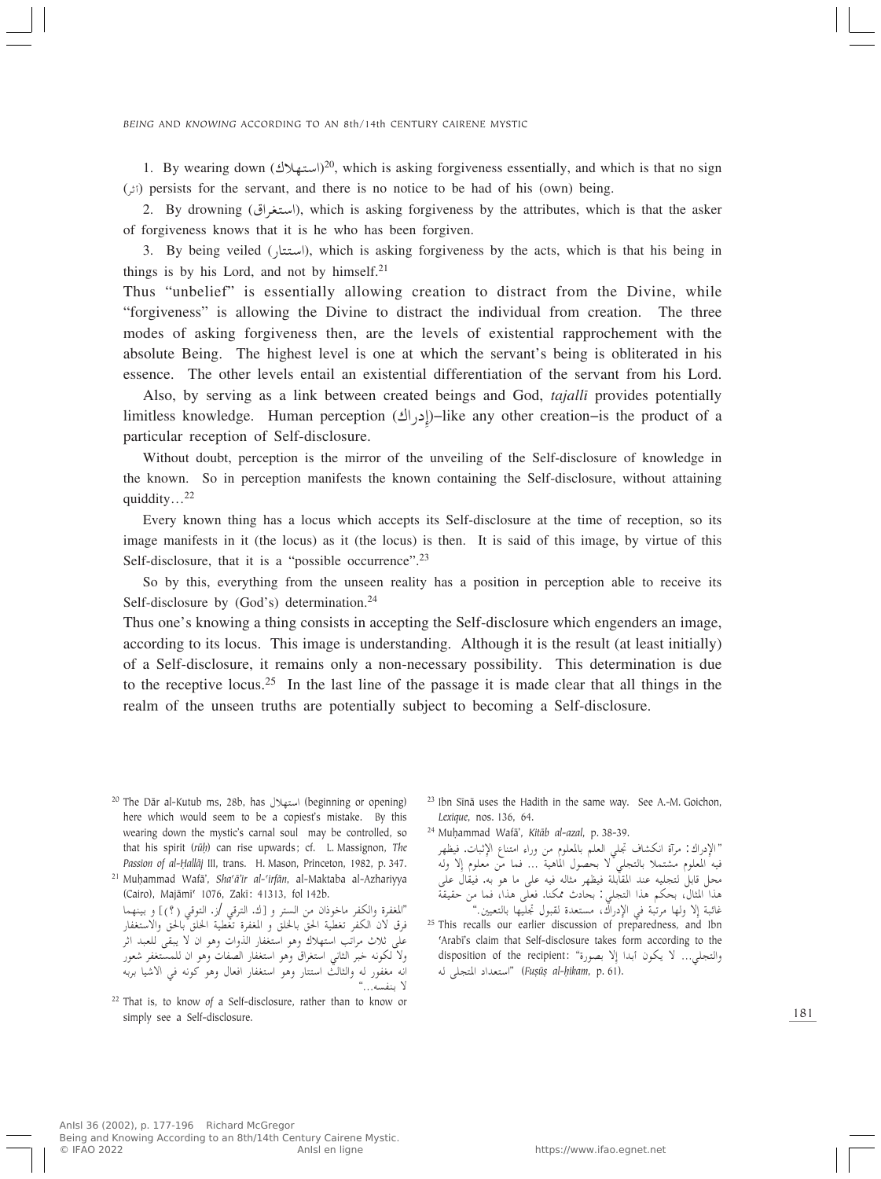1. By wearing down  $(2^{\circ})$  which is asking forgiveness essentially, and which is that no sign assists for the sensort and there is no astice to be hed of his (sum) being (dŁ√) persists for the servant, and there is no notice to be had of his (own) being.

2. By drowning (استغراق), which is asking forgiveness by the attributes, which is that the asker of forgiveness knows that it is he who has been forgiven.

3. By being veiled (استتار), which is asking forgiveness by the acts, which is that his being in things is by his Lord, and not by himself. $21$ 

Thus "unbelief" is essentially allowing creation to distract from the Divine, while "forgiveness" is allowing the Divine to distract the individual from creation. The three modes of asking forgiveness then, are the levels of existential rapprochement with the absolute Being. The highest level is one at which the servant's being is obliterated in his essence. The other levels entail an existential differentiation of the servant from his Lord.

Also, by serving as a link between created beings and God, *tajallî* provides potentially limitless knowledge. Human perception (إدراك)–like any other creation–is the product of a particular reception of Self-disclosure.

Without doubt, perception is the mirror of the unveiling of the Self-disclosure of knowledge in the known. So in perception manifests the known containing the Self-disclosure, without attaining quiddity…<sup>22</sup>

Every known thing has a locus which accepts its Self-disclosure at the time of reception, so its image manifests in it (the locus) as it (the locus) is then. It is said of this image, by virtue of this Self-disclosure, that it is a "possible occurrence".<sup>23</sup>

So by this, everything from the unseen reality has a position in perception able to receive its Self-disclosure by (God's) determination.<sup>24</sup>

Thus one's knowing a thing consists in accepting the Self-disclosure which engenders an image, according to its locus. This image is understanding. Although it is the result (at least initially) of a Self-disclosure, it remains only a non-necessary possibility. This determination is due to the receptive locus.<sup>25</sup> In the last line of the passage it is made clear that all things in the realm of the unseen truths are potentially subject to becoming a Self-disclosure.

<sup>20</sup> The Dār al-Kutub ms, 28b, has استهلال (beginning or opening) here which would seem to be a copiest's mistake. By this wearing down the mystic's carnal soul may be controlled, so that his spirit (rūh) can rise upwards; cf. L. Massignon, The Passion of al-Ḥallāj III, trans. H. Mason, Princeton, 1982, p. 347.

<sup>21</sup> MuÌammad Wafæ', *Sha©æ'ir al-©irfæn*, al-Maktaba al-Azhariyya (Cairo), Majæmî© 1076, Zakî: 41313, fol 142b. "المغفرة والكفر ماخوذان من الستر و [ك. الترقي /ز. التوقي (؟)] و بينهما<br>نسو الإرباني سوارتها السابل

فرق لان الكفر تغطية الحقّ بالخلق و المغفرة تغّطية الحلق بالحقّ والاستغفار على تلاب مراتب استهلاك وهو استعفار الدواب وهو الله عليهي للعبد اثر<br>الحريكي - مسائل عليه الله عليه المستعلل العليه العليه العليه عليه ولا لكونه خبر الثاني استغراق وهو استغفار الصفات وهو ان للمستغفر شعور انه مغفور له والثالث استتار وهو استغفار افعال وهو كونه في الاشيا بربه<br>لا ينفسه..."

<sup>22</sup> That is, to know of a Self-disclosure, rather than to know or simply see a Self-disclosure.

- <sup>23</sup> Ibn Sīnā uses the Hadith in the same way. See A.-M. Goichon, *Lexique*, nos. 136, 64.
- <sup>24</sup> MuÌammad Wafæ', *Kitæb al-azal*, p. 38-39.

" الإدراك : مرآة انكشاف تجلي العلم بالمعلوم من وراء امتناع الإثبات. فيظهر<br>. مراه الكساف جلي العلم بالمعلوم من وراء المسلمين.<br>مسلم المسلم المسلم فيه المعلوم مستملا بالتجلي لا يحصون الماهيه ... فما من معلوم إذ وله<br>محل قابل لتجليه عند المقابلة فيظهر مثاله فيه على ما هو به. فيقال على<br>محل النائية هذا المثال، بحكم هذا التجلي: بحادث ممكنا. فعلى هذا، فما من حقيقة هذا المثال، بحكم هذا التجلي: بحادث ممكنا. فعلى هذا، فما ه<br>غائبة إِلا ولها مرتبة في الإدراك، مستعدة لقبول تجليها بالتعيين."<br>...

<sup>25</sup> This recalls our earlier discussion of preparedness, and Ibn 'Arabī's claim that Self-disclosure takes form according to the والتجلي… لا يكون أبدا إلا بصورة" :disposition of the recipient استعداد المتجلى له" (*Fuṣūṣ al-ḥikam*, p. 61).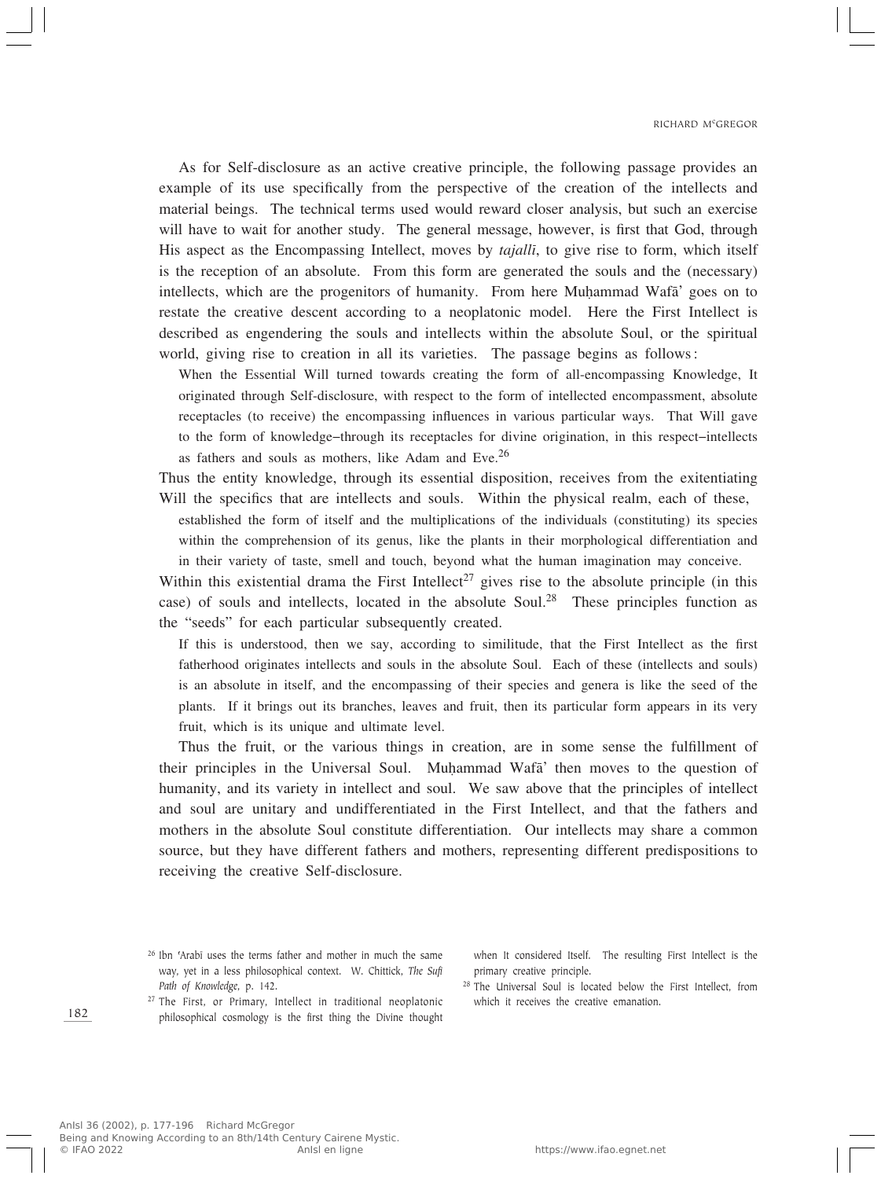As for Self-disclosure as an active creative principle, the following passage provides an example of its use specifically from the perspective of the creation of the intellects and material beings. The technical terms used would reward closer analysis, but such an exercise will have to wait for another study. The general message, however, is first that God, through His aspect as the Encompassing Intellect, moves by *tajallî*, to give rise to form, which itself is the reception of an absolute. From this form are generated the souls and the (necessary) intellects, which are the progenitors of humanity. From here Muhammad Wafa' goes on to restate the creative descent according to a neoplatonic model. Here the First Intellect is described as engendering the souls and intellects within the absolute Soul, or the spiritual world, giving rise to creation in all its varieties. The passage begins as follows:

When the Essential Will turned towards creating the form of all-encompassing Knowledge, It originated through Self-disclosure, with respect to the form of intellected encompassment, absolute receptacles (to receive) the encompassing influences in various particular ways. That Will gave to the form of knowledge–through its receptacles for divine origination, in this respect–intellects as fathers and souls as mothers, like Adam and Eve.<sup>26</sup>

Thus the entity knowledge, through its essential disposition, receives from the exitentiating Will the specifics that are intellects and souls. Within the physical realm, each of these,

established the form of itself and the multiplications of the individuals (constituting) its species within the comprehension of its genus, like the plants in their morphological differentiation and in their variety of taste, smell and touch, beyond what the human imagination may conceive.

Within this existential drama the First Intellect<sup>27</sup> gives rise to the absolute principle (in this case) of souls and intellects, located in the absolute Soul.<sup>28</sup> These principles function as the "seeds" for each particular subsequently created.

If this is understood, then we say, according to similitude, that the First Intellect as the first fatherhood originates intellects and souls in the absolute Soul. Each of these (intellects and souls) is an absolute in itself, and the encompassing of their species and genera is like the seed of the plants. If it brings out its branches, leaves and fruit, then its particular form appears in its very fruit, which is its unique and ultimate level.

Thus the fruit, or the various things in creation, are in some sense the fulfillment of their principles in the Universal Soul. Muhammad Wafa' then moves to the question of humanity, and its variety in intellect and soul. We saw above that the principles of intellect and soul are unitary and undifferentiated in the First Intellect, and that the fathers and mothers in the absolute Soul constitute differentiation. Our intellects may share a common source, but they have different fathers and mothers, representing different predispositions to receiving the creative Self-disclosure.

when It considered Itself. The resulting First Intellect is the primary creative principle.

<sup>27</sup> The First, or Primary, Intellect in traditional neoplatonic philosophical cosmology is the first thing the Divine thought

<sup>28</sup> The Universal Soul is located below the First Intellect, from which it receives the creative emanation.

<sup>&</sup>lt;sup>26</sup> Ibn 'Arabī uses the terms father and mother in much the same way, yet in a less philosophical context. W. Chittick, *The Sufi Path of Knowledge*, p. 142.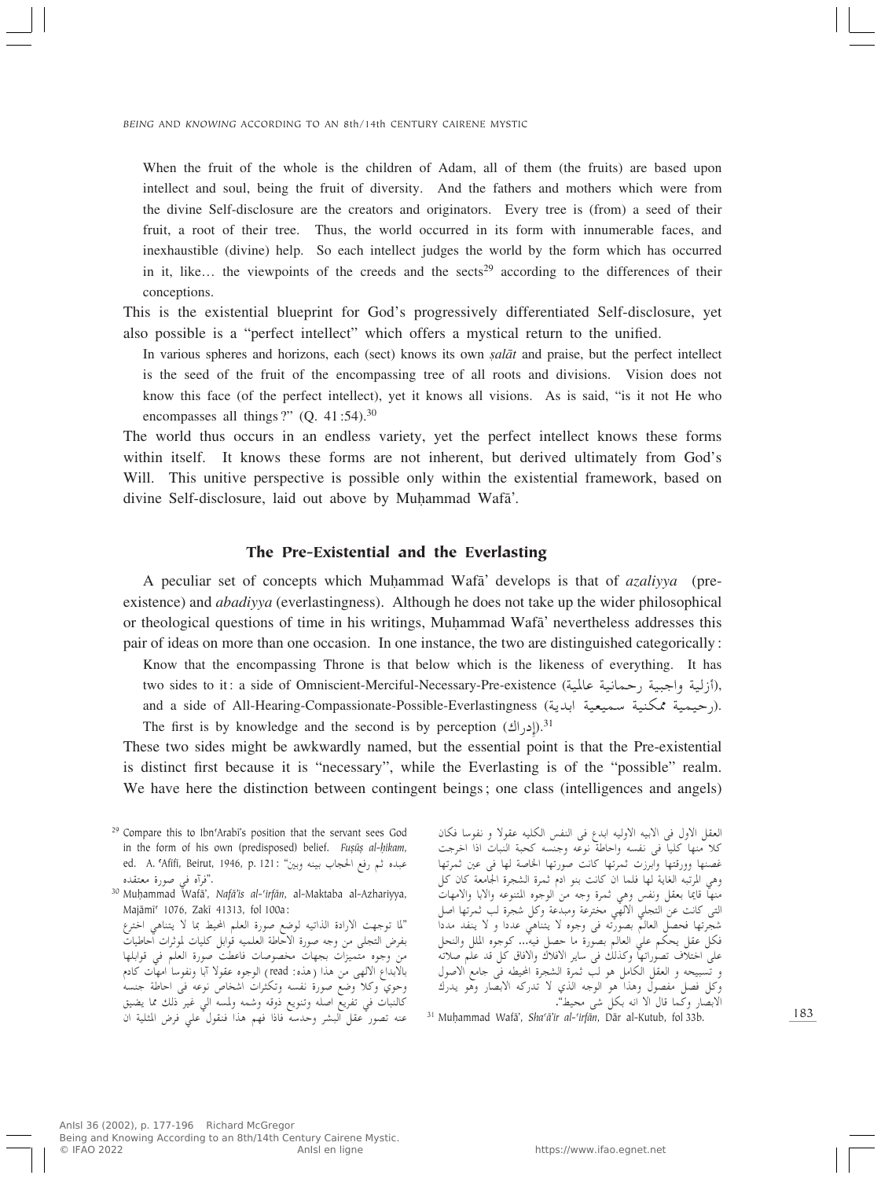When the fruit of the whole is the children of Adam, all of them (the fruits) are based upon intellect and soul, being the fruit of diversity. And the fathers and mothers which were from the divine Self-disclosure are the creators and originators. Every tree is (from) a seed of their fruit, a root of their tree. Thus, the world occurred in its form with innumerable faces, and inexhaustible (divine) help. So each intellect judges the world by the form which has occurred in it, like... the viewpoints of the creeds and the sects<sup>29</sup> according to the differences of their conceptions.

This is the existential blueprint for God's progressively differentiated Self-disclosure, yet also possible is a "perfect intellect" which offers a mystical return to the unified.

In various spheres and horizons, each (sect) knows its own *salat* and praise, but the perfect intellect is the seed of the fruit of the encompassing tree of all roots and divisions. Vision does not know this face (of the perfect intellect), yet it knows all visions. As is said, "is it not He who encompasses all things?" (Q.  $41:54$ ).<sup>30</sup>

The world thus occurs in an endless variety, yet the perfect intellect knows these forms within itself. It knows these forms are not inherent, but derived ultimately from God's Will. This unitive perspective is possible only within the existential framework, based on divine Self-disclosure, laid out above by Muhammad Wafa'.

#### The Pre-Existential and the Everlasting

A peculiar set of concepts which MuÌammad Wafæ' develops is that of *azaliyya* (preexistence) and *abadiyya* (everlastingness). Although he does not take up the wider philosophical or theological questions of time in his writings, Muhammad Wafa' nevertheless addresses this pair of ideas on more than one occasion. In one instance, the two are distinguished categorically:

Know that the encompassing Throne is that below which is the likeness of everything. It has two sides to it: a side of Omniscient-Merciful-Necessary-Pre-existence (أزلية واجبية , حمانية عالمية), and a side of All-Hearing-Compassionate-Possible-Everlastingness (احيمية ممكنية سميعية ابدية). The first is by knowledge and the second is by perception  $(2^{\text{N}})$ .<sup>31</sup>

These two sides might be awkwardly named, but the essential point is that the Pre-existential is distinct first because it is "necessary", while the Everlasting is of the "possible" realm. We have here the distinction between contingent beings; one class (intelligences and angels)

<sup>29</sup> Compare this to Ibn'Arabī's position that the servant sees God in the form of his own (predisposed) belief. *Fuṣūṣ al-ḥikam*, ed. A. ʿAfīfī, Beirut, 1946, p. 121: "فم رفع الحجاب بينه وبين ."فراه في صورة معتقده<br>من المقدا

<sup>30</sup> Muhammad Wafā', *Nafā'is al-'irfān*, al-Maktaba al-Azhariyya, Majāmī<sup>c</sup> 1076, Zakī 41313, fol 100a:

"لما توجهت الارادة الذاتيه لوضع صورة العلم المحيط بما لا يتناهى اخترع UOÞUŠ« «dŁu\* UOK qЫu tOLKF« WÞUŠô« …—u tłË s- vK−²« ÷dHÐ من وجوه متميزات بجهات محصوصات فاعطت صوره العلم في قوابلها<br>بالحرف بالاستقلال بالابداع الالهي من هذا (هذه: read) الوجوه عقولاً آبا ونفوساً امهات كادم<br>مستقل المستقل وحوي وكلا وضع صورة نفسه وتكثرات اشخاص نوعه في احاطة جنسه حالنبات في تقريع أصله وتنويع دوقة وسمة ولمسة أني عير ذلك عا يصين<br>مستقبل المستقبل عنه تصور عقل البشر وحدسه فاذا فهم هذا فنقول على فرض المثلية ان العقل الاول في الابيه الاوليه ابدع في النفس الكليه عقولا و نفوسا فكان كلا منها كليا في نفسه واخاطه نوعه وجنسه كحبه النبات ادا اخرجب<br>. عصنها وورقتها وابرزک تمریها آثاثت صورتها الحاصة لها فی عین تمریها<br>سال سالمان این این این این کار وهي المرتبه الغاية لها فلما ان كانت بنو ادم ثمرة الشجرة الجامعة كان كل<br>مستقلها من المستقل المستقلة منها قاما بعض وتقس وهي تمره وجه من الوجوه المنوعة والآبا والأمهاب<br>المستخدمات العامل الله لتي كانت عن التجلي الألهي مخترعة ومبدعة وكل سجرة لب يمريها أصل<br>مستقل السلسلات سجرتها فحصل العالم بصورته في وجوه لا يتناهي عددا و لا يتعد مددا<br>د∕ار سال محصل العالم بصورته في وجوه لا يتنامي فكل عقل يحكم علي العالم بصورة ما حصل فيه... كوجوه الملل والنحل<br>باس بوزن مع ساس حمدان : على احتلاف تصوراتها و تنانت في ساير الافلاك والافاق كل قد علم صلاته<br>من المسلمان المسلمان و تسبيحه و العقل الحامل هو لب تمره السجرة الخيطة في جامع الأصول<br>∠ا وكل فصل مفصول وهذا هو الوجه الذي لا تدركه الابصار وهو يدرك وتل قصل مفصول وهذا هو الوجه الذي<br>الابصار وكما قال الا انه بكل شي محيط".<br>احدا دورا ، با با با با حد حدا :

<sup>31</sup> Muhammad Wafā', *Sha'ā'ir al-'irfān*, Dār al-Kutub, fol 33b.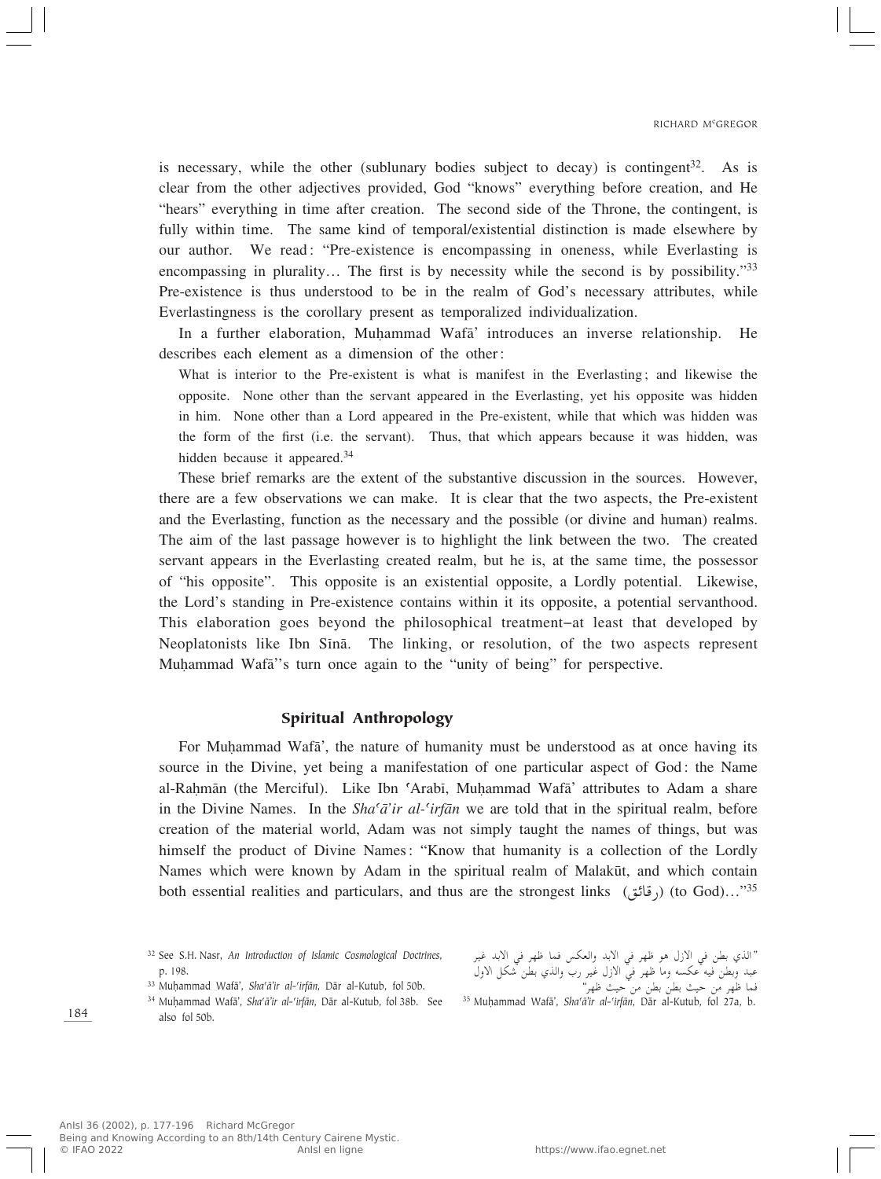is necessary, while the other (sublunary bodies subject to decay) is contingent<sup>32</sup>. As is clear from the other adjectives provided, God "knows" everything before creation, and He "hears" everything in time after creation. The second side of the Throne, the contingent, is fully within time. The same kind of temporal/existential distinction is made elsewhere by our author. We read: "Pre-existence is encompassing in oneness, while Everlasting is encompassing in plurality... The first is by necessity while the second is by possibility."<sup>33</sup> Pre-existence is thus understood to be in the realm of God's necessary attributes, while Everlastingness is the corollary present as temporalized individualization.

In a further elaboration, Muhammad Wafa' introduces an inverse relationship. He describes each element as a dimension of the other:

What is interior to the Pre-existent is what is manifest in the Everlasting; and likewise the opposite. None other than the servant appeared in the Everlasting, yet his opposite was hidden in him. None other than a Lord appeared in the Pre-existent, while that which was hidden was the form of the first (i.e. the servant). Thus, that which appears because it was hidden, was hidden because it appeared.<sup>34</sup>

These brief remarks are the extent of the substantive discussion in the sources. However, there are a few observations we can make. It is clear that the two aspects, the Pre-existent and the Everlasting, function as the necessary and the possible (or divine and human) realms. The aim of the last passage however is to highlight the link between the two. The created servant appears in the Everlasting created realm, but he is, at the same time, the possessor of "his opposite". This opposite is an existential opposite, a Lordly potential. Likewise, the Lord's standing in Pre-existence contains within it its opposite, a potential servanthood. This elaboration goes beyond the philosophical treatment–at least that developed by Neoplatonists like Ibn Sînæ. The linking, or resolution, of the two aspects represent Muhammad Wafa<sup>"'</sup>s turn once again to the "unity of being" for perspective.

### Spiritual Anthropology

For Muhammad Wafa', the nature of humanity must be understood as at once having its source in the Divine, yet being a manifestation of one particular aspect of God: the Name al-Rahmān (the Merciful). Like Ibn 'Arabī, Muhammad Wafā' attributes to Adam a share in the Divine Names. In the *Sha'a'ir al-'irfan* we are told that in the spiritual realm, before creation of the material world, Adam was not simply taught the names of things, but was himself the product of Divine Names: "Know that humanity is a collection of the Lordly Names which were known by Adam in the spiritual realm of Malakūt, and which contain both essential realities and particulars, and thus are the strongest links  $($ رقائق $)$  (to God)…"<sup>35</sup>

<sup>34</sup> Muḥammad Wafā', *Sha'ā'ir al-'irfān*, Dār al-Kutub, fol 38b. See also fol 50b.

"الذي بطن في الازل هو ظهر في الابد والعكس فما ظهر في الابد غير عبد وبص فيه عجسه وما طهر في ادرل عير رب والدي بص سحل ادول<br>زياريا فما ظهر من حيث بطن بطن من ّحيث ظهر'

قما صهر من حيث بصن بصن من حيث صهر<br><sup>35</sup> Muḥammad Wafā', *Shaʿā'ir al-ʿirfān*, Dār al-Kutub, fol 27a, b.

<sup>32</sup> See S.H. Nasr, *An Introduction of Islamic Cosmological Doctrines*, p. 198.

<sup>&</sup>lt;sup>33</sup> Muḥammad Wafā', *Sha'ā'ir al-'irfān*, Dār al-Kutub, fol 50b.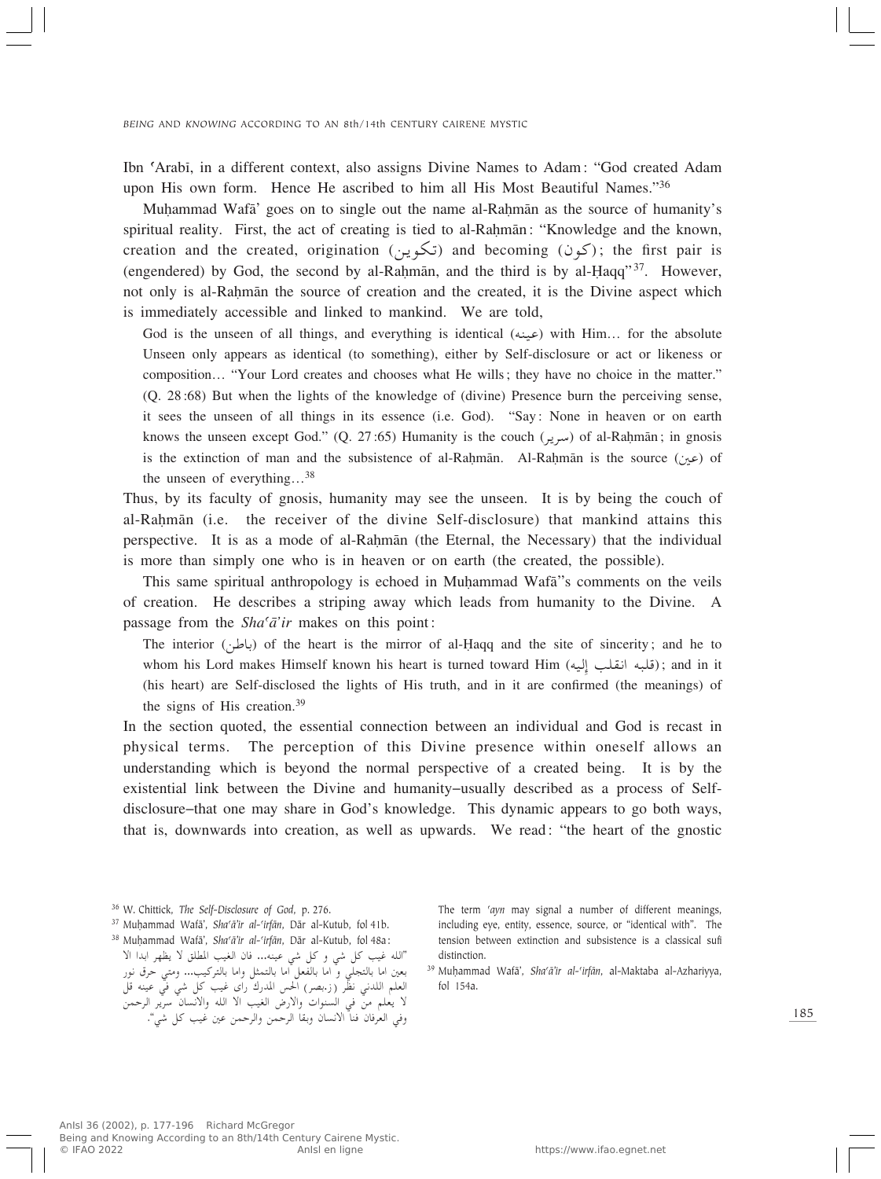Ibn ©Arabî, in a different context, also assigns Divine Names to Adam: "God created Adam upon His own form. Hence He ascribed to him all His Most Beautiful Names."36

Muhammad Wafa' goes on to single out the name al-Rahman as the source of humanity's spiritual reality. First, the act of creating is tied to al-Rahmān: "Knowledge and the known, creation and the created, origination (تكوين) and becoming ( $\zeta$ كون); the first pair is (engendered) by God, the second by al-Rahman, and the third is by al-Haqq" $37$ . However, not only is al-Rahman the source of creation and the created, it is the Divine aspect which is immediately accessible and linked to mankind. We are told,

God is the unseen of all things, and everything is identical  $(4\mu\omega)$  with Him… for the absolute Unseen only appears as identical (to something), either by Self-disclosure or act or likeness or composition… "Your Lord creates and chooses what He wills; they have no choice in the matter." (Q. 28:68) But when the lights of the knowledge of (divine) Presence burn the perceiving sense, it sees the unseen of all things in its essence (i.e. God). "Say: None in heaven or on earth knows the unseen except God." (Q. 27:65) Humanity is the couch ( $d_{rel}$ ) of al-Rahmān; in gnosis is the extinction of man and the subsistence of al-Rahman. Al-Rahman is the source ( $\omega$ ) of the unseen of everything…<sup>38</sup>

Thus, by its faculty of gnosis, humanity may see the unseen. It is by being the couch of al-Rahmān (i.e. the receiver of the divine Self-disclosure) that mankind attains this perspective. It is as a mode of al-Rahmān (the Eternal, the Necessary) that the individual is more than simply one who is in heaven or on earth (the created, the possible).

This same spiritual anthropology is echoed in Muḥammad Wafā"s comments on the veils of creation. He describes a striping away which leads from humanity to the Divine. A passage from the *Sha<sup>c</sup>a'ir* makes on this point:

The interior (باطن) of the heart is the mirror of al-Haqq and the site of sincerity; and he to whom his Lord makes Himself known his heart is turned toward Him (قلبه انقلب إليه); and in it<br>(bis heart) see Self lied web the Unkter of Wis to the part is it are see Consul (the meaning) of (his heart) are Self-disclosed the lights of His truth, and in it are confirmed (the meanings) of the signs of His creation.<sup>39</sup>

In the section quoted, the essential connection between an individual and God is recast in physical terms. The perception of this Divine presence within oneself allows an understanding which is beyond the normal perspective of a created being. It is by the existential link between the Divine and humanity–usually described as a process of Selfdisclosure–that one may share in God's knowledge. This dynamic appears to go both ways, that is, downwards into creation, as well as upwards. We read: "the heart of the gnostic

<sup>38</sup> Muhammad Wafā', *Sha'ā'ir al-'irfān*, Dār al-Kutub, fol 48a:

The term 'ayn may signal a number of different meanings, including eye, entity, essence, source, or "identical with". The tension between extinction and subsistence is a classical sufi distinction.

<sup>39</sup> Muhammad Wafā', *Sha'ā'ir al-'irfān*, al-Maktaba al-Azhariyya, fol 154a.

<sup>36</sup> W. Chittick, *The Self-Disclosure of God*, p. 276.

<sup>&</sup>lt;sup>37</sup> Muḥammad Wafā', *Sha'ā'ir al-'irfān*, Dār al-Kutub, fol 41b.

<sup>&</sup>quot;الله غيب كل شي و كل شي عينه... فان الغيب المطلق لا يظهر ابدا الا بعين أما بالتجلي و أما بالفعل أما بالتمثل وأما بالتركيب... ومتي حرق نور<br>الطاح الله عليه المستقل بعين اما بالتجلي و َّ اما بالفعل َّاما بالتمثل واما بالتركيب... ومتى حرق نور العلم اللدني نظّر (ز.بصر) الحس المدرك راى غيب كل شي في عينه قل<br>ا\ لا يعلم من في السنوات والأرض العيب الا الله والأنسان سرير الرحمن<br>من السنة من الأحداث عبد السنة وفي العرفان فناً الانسان وبقا الرحمن والرحمن عين غيب كل شي".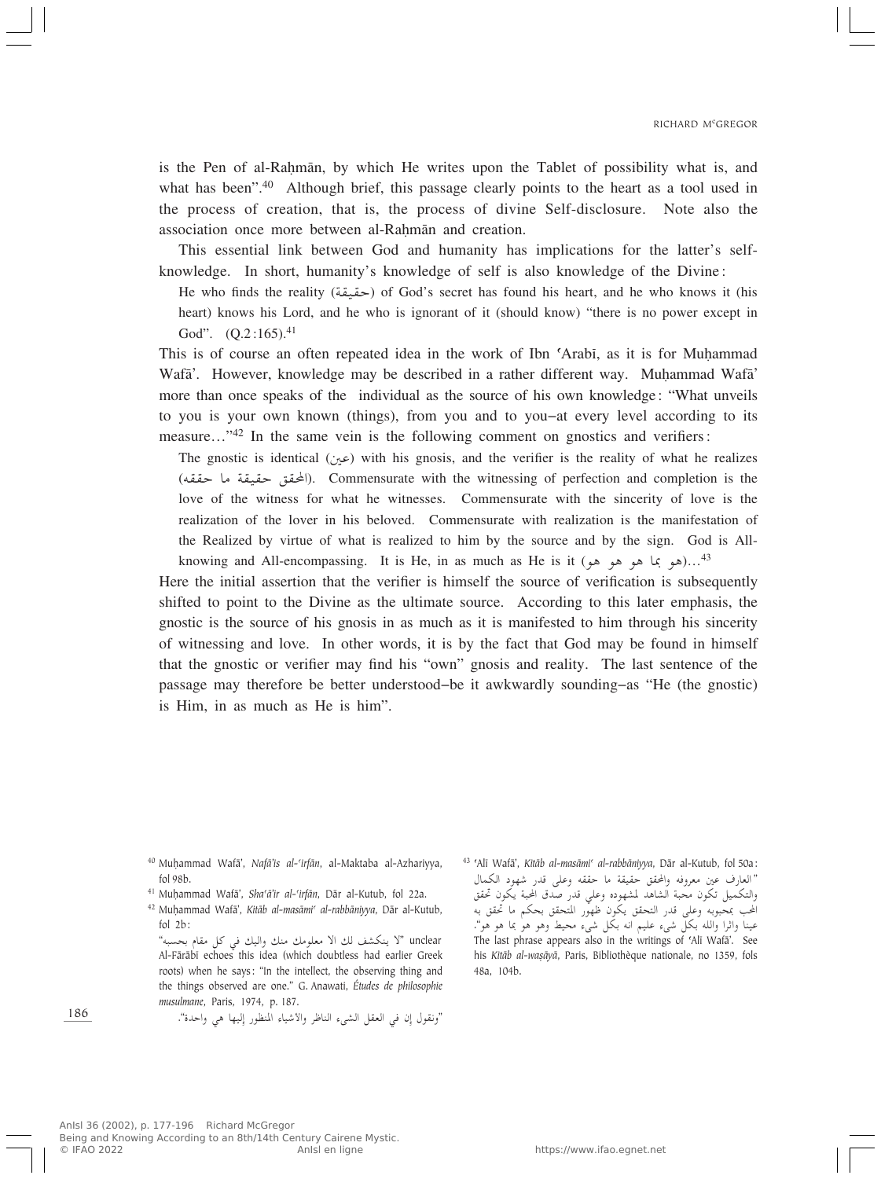is the Pen of al-Rahmān, by which He writes upon the Tablet of possibility what is, and what has been".<sup>40</sup> Although brief, this passage clearly points to the heart as a tool used in the process of creation, that is, the process of divine Self-disclosure. Note also the association once more between al-Rahmān and creation.

This essential link between God and humanity has implications for the latter's selfknowledge. In short, humanity's knowledge of self is also knowledge of the Divine:

He who finds the reality (حقيقة) of God's secret has found his heart, and he who knows it (his heart) knows his Lord, and he who is ignorant of it (should know) "there is no power except in God".  $(Q.2:165).^{41}$ 

This is of course an often repeated idea in the work of Ibn 'Arabi, as it is for Muhammad Wafā'. However, knowledge may be described in a rather different way. Muhammad Wafa' more than once speaks of the individual as the source of his own knowledge: "What unveils to you is your own known (things), from you and to you–at every level according to its measure..."<sup>42</sup> In the same vein is the following comment on gnostics and verifiers:

 $\pi$ The gnostic is identical (5 $\infty$ ) with his gnosis, and the verifier is the reality of what he realizes (المحقق حقيقة ما حققه). Commensurate with the witnessing of perfection and completion is the line of the primary of the primary of the primary of the primary of the primary of the primary of the primary of the primary of love of the witness for what he witnesses. Commensurate with the sincerity of love is the realization of the lover in his beloved. Commensurate with realization is the manifestation of the Realized by virtue of what is realized to him by the source and by the sign. God is Allknowing and All-encompassing. It is He, in as much as He is it (هو بما هو هو هو)...<sup>43</sup>

Here the initial assertion that the verifier is himself the source of verification is subsequently shifted to point to the Divine as the ultimate source. According to this later emphasis, the gnostic is the source of his gnosis in as much as it is manifested to him through his sincerity of witnessing and love. In other words, it is by the fact that God may be found in himself that the gnostic or verifier may find his "own" gnosis and reality. The last sentence of the passage may therefore be better understood–be it awkwardly sounding–as "He (the gnostic) is Him, in as much as He is him".

"ونقول إن في العقل الشيء الناظر والأشياء المنظور إِليها هي واحدة".

<sup>43</sup> ©Alî Wafæ', *Kitæb al-masæmi© al-rabbæniyya*, Dær al-Kutub, fol 50a: ألعارف عين معروفه والمحقق حققه ما حققه وعلى قدر شهود الكمال<br>«حمل حرف حرف العالمية العالمية العالمية على العالمية حرف تعد والتكميل تكون محبة الساهد لمسهوده وعلي قدر صدق الحبة يكون حقق<br>المستقبل المول المستقبل المستقبل المستقبل المستقبل المستقبل الحب بلحبوبه وعلى قدر التحقق يحول طهور المتحقق بحكم ما حقق به<br>الماضا الله على حمل من عينا واثرا والله بكلٌّ شيء عليم انه بكل شيء محيط وهو هوْ بما هو هو". The last phrase appears also in the writings of 'Alī Wafā'. See his *Kitāb al-waṣāyā*, Paris, Bibliothèque nationale, no 1359, fols 48a, 104b.

186

<sup>40</sup> MuÌammad Wafæ', *Nafæ'is al-©irfæn*, al-Maktaba al-Azhariyya, fol 98b.

<sup>&</sup>lt;sup>41</sup> Muhammad Wafā', *Sha'ā'ir al-'irfān*, Dār al-Kutub, fol 22a.

<sup>&</sup>lt;sup>42</sup> Muḥammad Wafā', Kitāb al-masāmi<sup>c</sup> al-rabbāniyya, Dār al-Kutub, fol 2b:

unclear "لا ينكشف لك الا معلومك منك واليك في كل مقام بحسبه"<br>است علم العلم العلم العلم العلم العلم العلم العلم العلم علم علم العلم العلم العلم العلم العلم العلم العلم العل Al-Færæbî echoes this idea (which doubtless had earlier Greek roots) when he says: "In the intellect, the observing thing and the things observed are one." G. Anawati, *Études de philosophie musulmane*, Paris, 1974, p. 187.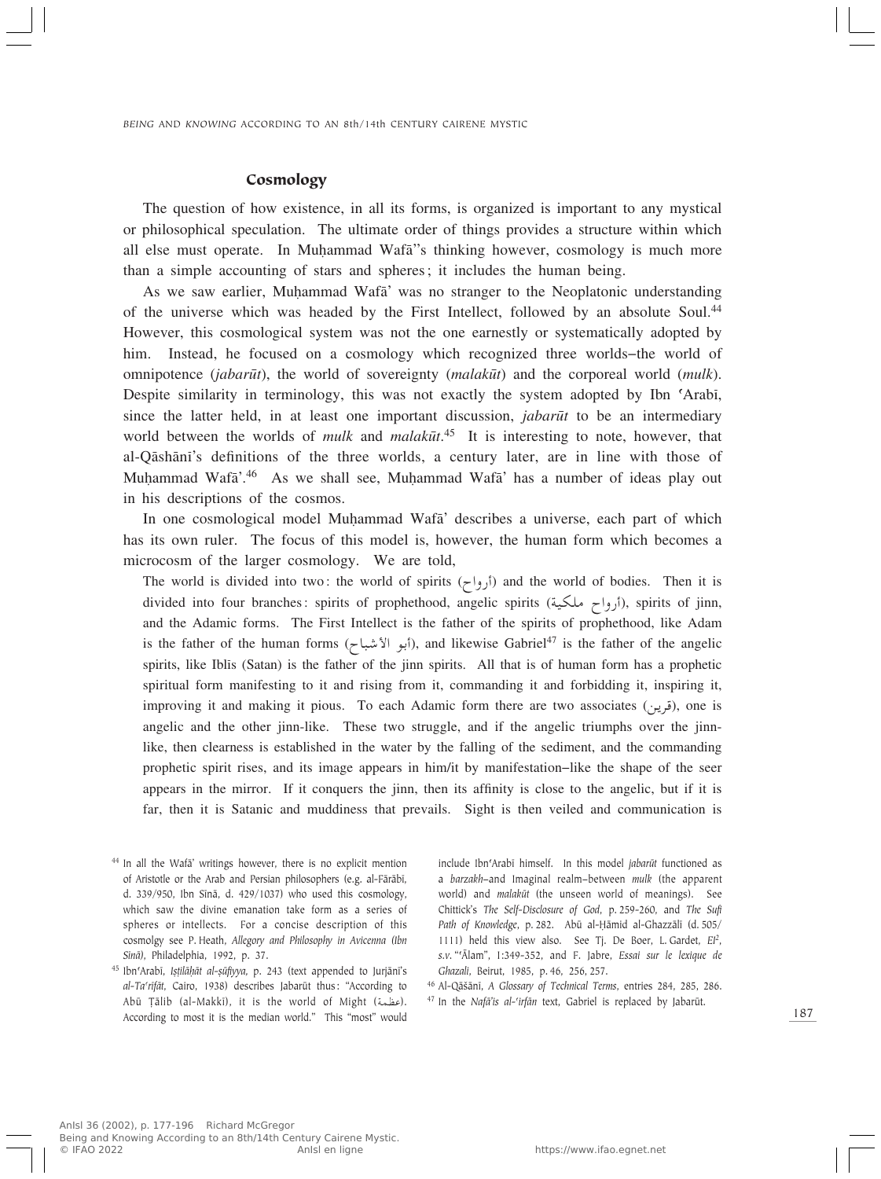### Cosmology

The question of how existence, in all its forms, is organized is important to any mystical or philosophical speculation. The ultimate order of things provides a structure within which all else must operate. In Muhammad Wafa<sup>7</sup>'s thinking however, cosmology is much more than a simple accounting of stars and spheres; it includes the human being.

As we saw earlier, Muhammad Wafa' was no stranger to the Neoplatonic understanding of the universe which was headed by the First Intellect, followed by an absolute Soul.44 However, this cosmological system was not the one earnestly or systematically adopted by him. Instead, he focused on a cosmology which recognized three worlds–the world of omnipotence (*jabarūt*), the world of sovereignty (*malakūt*) and the corporeal world (*mulk*). Despite similarity in terminology, this was not exactly the system adopted by Ibn 'Arabi, since the latter held, in at least one important discussion, *jabarūt* to be an intermediary world between the worlds of *mulk* and *malakūt*.<sup>45</sup> It is interesting to note, however, that al-Qæshænî's definitions of the three worlds, a century later, are in line with those of Muhammad Wafa<sup>' 46</sup> As we shall see, Muhammad Wafa' has a number of ideas play out in his descriptions of the cosmos.

In one cosmological model Muhammad Wafa' describes a universe, each part of which has its own ruler. The focus of this model is, however, the human form which becomes a microcosm of the larger cosmology. We are told,

The world is divided into two: the world of spirits ( $\zeta$ رواح) and the world of bodies. Then it is divided into four branches: spirits of prophethood, angelic spirits (أرواح ملكية), spirits of jinn,<br>مصطلحه المسلمان المسلمان المسلمان المسلمان المسلمان المسلمان المسلمان المسلمان المسلمان المسلمان المسلمان المس and the Adamic forms. The First Intellect is the father of the spirits of prophethood, like Adam is the father of the human forms (أبو الأشباح), and likewise Gabriel<sup>47</sup> is the father of the angelic spirits, like Iblîs (Satan) is the father of the jinn spirits. All that is of human form has a prophetic spiritual form manifesting to it and rising from it, commanding it and forbidding it, inspiring it, improving it and making it pious. To each Adamic form there are two associates (قوين), one is<br>considered the other line. These to a streach send if the considerational consideration angelic and the other jinn-like. These two struggle, and if the angelic triumphs over the jinnlike, then clearness is established in the water by the falling of the sediment, and the commanding prophetic spirit rises, and its image appears in him/it by manifestation–like the shape of the seer appears in the mirror. If it conquers the jinn, then its affinity is close to the angelic, but if it is far, then it is Satanic and muddiness that prevails. Sight is then veiled and communication is

include Ibn'Arabī himself. In this model *jabarūt* functioned as a *barzakh*–and Imaginal realm–between *mulk* (the apparent world) and *malakūt* (the unseen world of meanings). See Chittick's *The Self-Disclosure of God*, p. 259-260, and *The Sufi* Path of Knowledge, p. 282. Abū al-Ḥāmid al-Ghazzālī (d. 505/ 1111) held this view also. See Tj. De Boer, L. Gardet, *EI<sup>2</sup>*, *s.v.* "©Ælam", I:349-352, and F. Jabre, *Essai sur le lexique de Ghazali*, Beirut, 1985, p. 46, 256, 257.

<sup>46</sup> Al-Qāšānī, *A Glossary of Technical Terms*, entries 284, 285, 286. <sup>47</sup> In the *Nafā'is al-'irfān* text, Gabriel is replaced by Jabarūt.

<sup>&</sup>lt;sup>44</sup> In all the Wafa' writings however, there is no explicit mention of Aristotle or the Arab and Persian philosophers (e.g. al-Fārābī, d. 339/950, Ibn Sînæ, d. 429/1037) who used this cosmology, which saw the divine emanation take form as a series of spheres or intellects. For a concise description of this cosmolgy see P. Heath, *Allegory and Philosophy in Avicenna (Ibn Sînæ)*, Philadelphia, 1992, p. 37.

<sup>&</sup>lt;sup>45</sup> Ibn'Arabī, *Ișțilāḥāt al-șūfiyya*, p. 243 (text appended to Jurjānī's al-Ta'rīfāt, Cairo, 1938) describes Jabarūt thus: "According to Abū Țālib (al-Makkī), it is the world of Might (عظمة). According to most it is the median world." This "most" would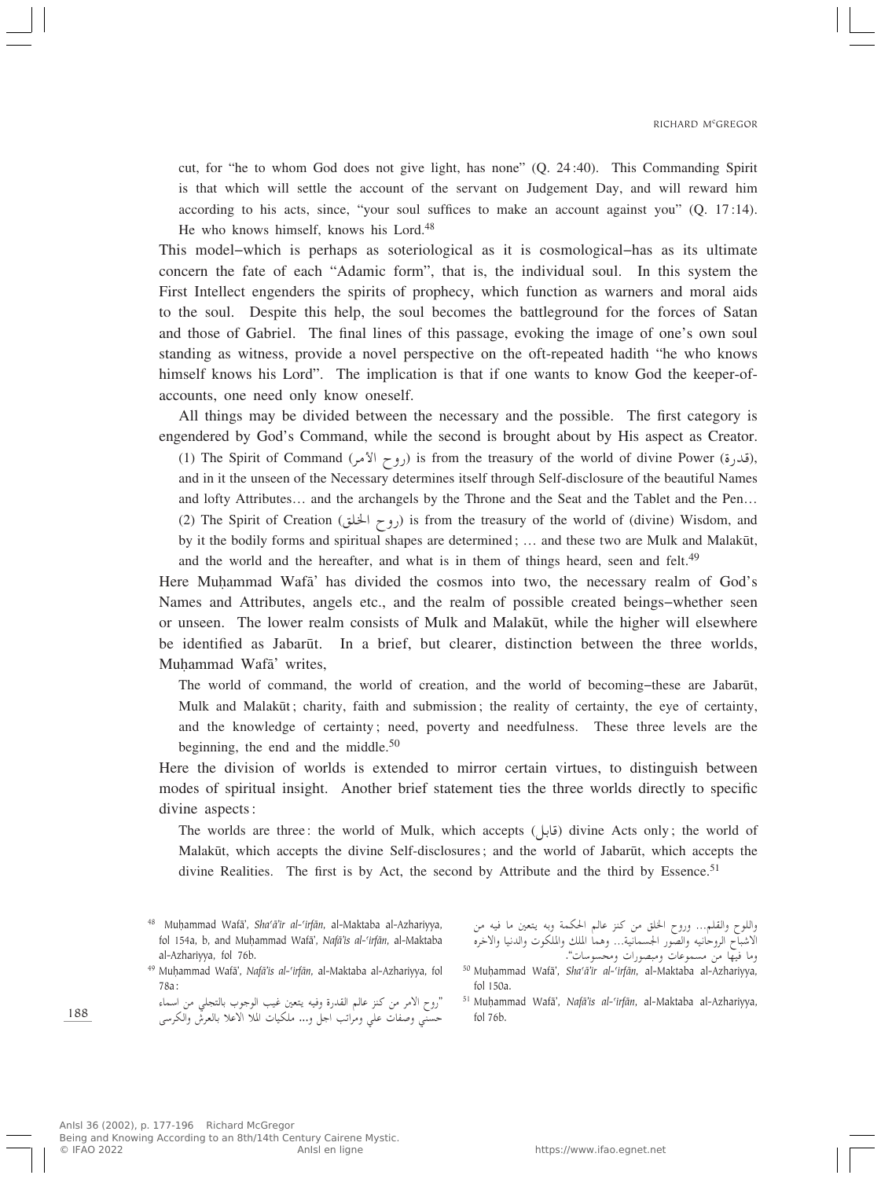cut, for "he to whom God does not give light, has none" (Q. 24:40). This Commanding Spirit is that which will settle the account of the servant on Judgement Day, and will reward him according to his acts, since, "your soul suffices to make an account against you" (Q. 17:14). He who knows himself, knows his Lord.<sup>48</sup>

This model–which is perhaps as soteriological as it is cosmological–has as its ultimate concern the fate of each "Adamic form", that is, the individual soul. In this system the First Intellect engenders the spirits of prophecy, which function as warners and moral aids to the soul. Despite this help, the soul becomes the battleground for the forces of Satan and those of Gabriel. The final lines of this passage, evoking the image of one's own soul standing as witness, provide a novel perspective on the oft-repeated hadith "he who knows himself knows his Lord". The implication is that if one wants to know God the keeper-ofaccounts, one need only know oneself.

All things may be divided between the necessary and the possible. The first category is engendered by God's Command, while the second is brought about by His aspect as Creator. (1) The Spirit of Command (روح الأمر) is from the treasury of the world of divine Power (قرار الأمر),<br>and in it the wasser of the Messeem determines itself thereal Self disclosure of the heavily Memes and in it the unseen of the Necessary determines itself through Self-disclosure of the beautiful Names and lofty Attributes… and the archangels by the Throne and the Seat and the Tablet and the Pen… (2) The Spirit of Creation (روح الخلق) is from the treasury of the world of (divine) Wisdom, and by it the bodily forms and spiritual shapes are determined; ... and these two are Mulk and Malakūt, and the world and the hereafter, and what is in them of things heard, seen and felt.<sup>49</sup>

Here Muhammad Wafa' has divided the cosmos into two, the necessary realm of God's Names and Attributes, angels etc., and the realm of possible created beings–whether seen or unseen. The lower realm consists of Mulk and Malakūt, while the higher will elsewhere be identified as Jabarūt. In a brief, but clearer, distinction between the three worlds, Muhammad Wafā' writes,

The world of command, the world of creation, and the world of becoming–these are Jabarūt, Mulk and Malakūt; charity, faith and submission; the reality of certainty, the eye of certainty, and the knowledge of certainty; need, poverty and needfulness. These three levels are the beginning, the end and the middle. $50$ 

Here the division of worlds is extended to mirror certain virtues, to distinguish between modes of spiritual insight. Another brief statement ties the three worlds directly to specific divine aspects:

The worlds are three: the world of Mulk, which accepts (قابل) divine Acts only; the world of  $M_{\text{old}}$ Malakūt, which accepts the divine Self-disclosures; and the world of Jabarūt, which accepts the divine Realities. The first is by Act, the second by Attribute and the third by Essence.<sup>51</sup>

<sup>49</sup> Muhammad Wafā', *Nafā'is al-'irfān*, al-Maktaba al-Azhariyya, fol 78a:

"روح الأمر من كنز عالم القدرة وفيه يتعين غيب الوجوب بالتجلي من اسماء<br>مصر الأمر حسنّي وصفات علي ومراتب اجل و... ملكيات الملا الاعلا بالعرشْ والكرسى

واللوح والقلم... وروح الحلق من النز العالم الحكيمة وبة يتغين ما فيه من<br>الأدراب الساب الاشباح الروحانيه والصور الجسمانية… وهما الملك والملكوت والدنيا والاخره ما فيها من مسموعات ومبصورات ومحسوسات".<br>في المعدات العاملية المعدات

<sup>51</sup> MuÌammad Wafæ', *Nafæ'is al-©irfæn*, al-Maktaba al-Azhariyya, fol 76b.

188

<sup>48</sup> MuÌammad Wafæ', *Sha©æ'ir al-©irfæn*, al-Maktaba al-Azhariyya, fol 154a, b, and MuÌammad Wafæ', *Nafæ'is al-©irfæn*, al-Maktaba al-Azhariyya, fol 76b.

<sup>&</sup>lt;sup>50</sup> Muḥammad Wafā', Sha'ā'ir al-'irfān, al-Maktaba al-Azhariyya, fol 150a.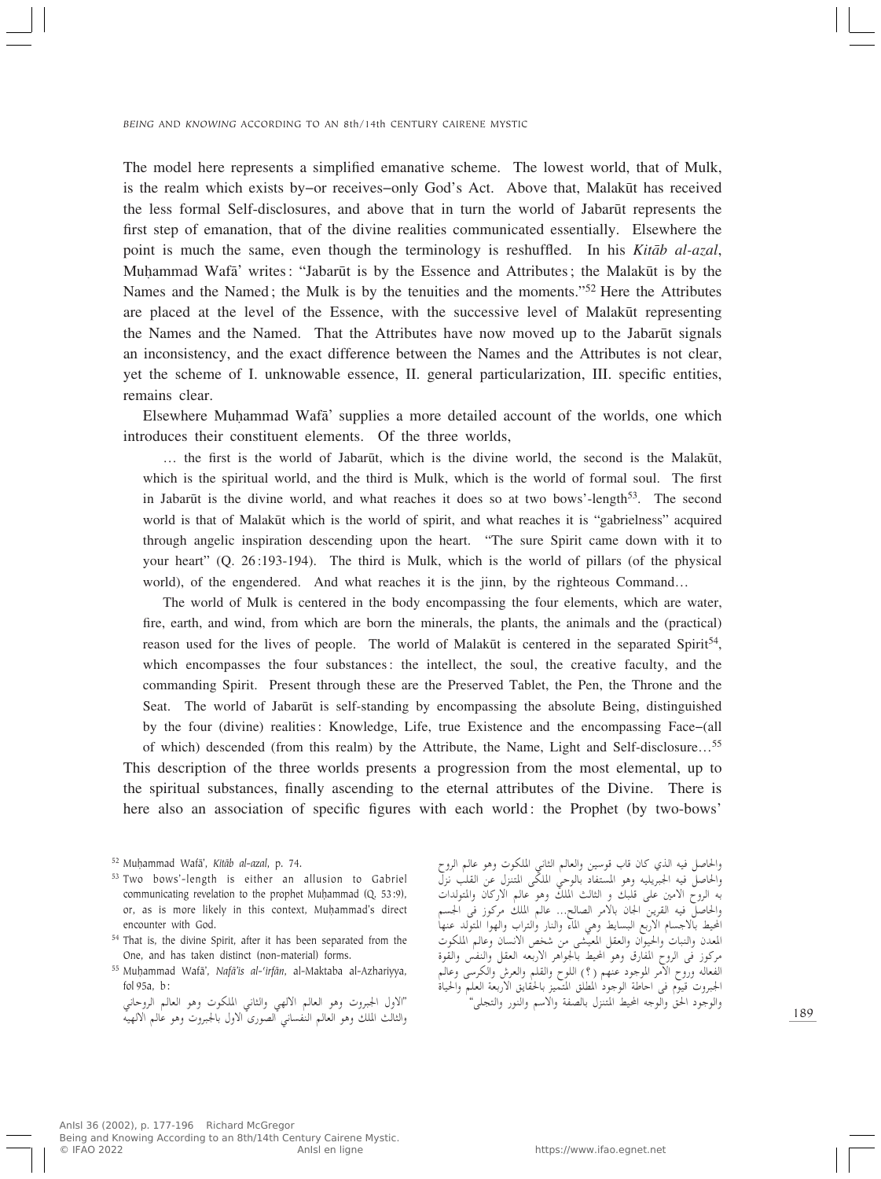The model here represents a simplified emanative scheme. The lowest world, that of Mulk, is the realm which exists by–or receives–only God's Act. Above that, Malakūt has received the less formal Self-disclosures, and above that in turn the world of Jabarūt represents the first step of emanation, that of the divine realities communicated essentially. Elsewhere the point is much the same, even though the terminology is reshuffled. In his *Kitæb al-azal*, Muhammad Wafa' writes: "Jabarūt is by the Essence and Attributes; the Malakūt is by the Names and the Named; the Mulk is by the tenuities and the moments."52 Here the Attributes are placed at the level of the Essence, with the successive level of Malakūt representing the Names and the Named. That the Attributes have now moved up to the Jabarūt signals an inconsistency, and the exact difference between the Names and the Attributes is not clear, yet the scheme of I. unknowable essence, II. general particularization, III. specific entities, remains clear.

Elsewhere MuÌammad Wafæ' supplies a more detailed account of the worlds, one which introduces their constituent elements. Of the three worlds,

… the first is the world of Jabarūt, which is the divine world, the second is the Malakūt, which is the spiritual world, and the third is Mulk, which is the world of formal soul. The first in Jabarūt is the divine world, and what reaches it does so at two bows'-length<sup>53</sup>. The second world is that of Malakūt which is the world of spirit, and what reaches it is "gabrielness" acquired through angelic inspiration descending upon the heart. "The sure Spirit came down with it to your heart" (Q. 26:193-194). The third is Mulk, which is the world of pillars (of the physical world), of the engendered. And what reaches it is the jinn, by the righteous Command...

The world of Mulk is centered in the body encompassing the four elements, which are water, fire, earth, and wind, from which are born the minerals, the plants, the animals and the (practical) reason used for the lives of people. The world of Malakūt is centered in the separated Spirit<sup>54</sup>, which encompasses the four substances: the intellect, the soul, the creative faculty, and the commanding Spirit. Present through these are the Preserved Tablet, the Pen, the Throne and the Seat. The world of Jabarūt is self-standing by encompassing the absolute Being, distinguished by the four (divine) realities: Knowledge, Life, true Existence and the encompassing Face–(all of which) descended (from this realm) by the Attribute, the Name, Light and Self-disclosure…<sup>55</sup> This description of the three worlds presents a progression from the most elemental, up to the spiritual substances, finally ascending to the eternal attributes of the Divine. There is here also an association of specific figures with each world: the Prophet (by two-bows'

- <sup>53</sup> Two bows'-length is either an allusion to Gabriel communicating revelation to the prophet Muhammad (Q. 53:9), or, as is more likely in this context, Muhammad's direct encounter with God.
- <sup>54</sup> That is, the divine Spirit, after it has been separated from the One, and has taken distinct (non-material) forms.
- <sup>55</sup> MuÌammad Wafæ', *Nafæ'is al-©irfæn*, al-Maktaba al-Azhariyya, fol 95a, b:

"الاول الجبروت وهو العالم الالهي والثاني الملكوت وهو العالم الروحان<sub>و</sub> والثالث الملك وهو العالم النفساني الصورى الاول بالجبروت وهو عالم الالهيّه

وأخاصل فيه أندي كان قاب فوسين والعالم التابي المكوب وهو عالم الروح<br>والحاصل فيه الجبريليه وهو المستفاد بالوحي الملكي المتنزل عن القلب نزل به الروح الأمين على قلبك و الثالث الملك وهو عالم الأركان والمتولدات<br>ما أو بالسياسية العالمية الأمين الأمين السياسية والحاصل فيه القرين الجان بالأمر الصالح... عالم الملك مركوز في الجسم<br>بار في الأحساس الأحساس العالمية المالية العالمية العالمية المحيط بالاجسام الاربع البسايط وهي المآء والنار والتراب والهوا المتولد عنها uJK\*« rUŽË ÊU ½ô« hý s- vAOF\*« qIF«Ë Ê«uO(«Ë U³M«Ë ÊbF\*« …uI«Ë fHM«Ë qIF« tFЗô« d¼«u'UÐ jO;« u¼Ë '—UH\*« ÕËd« v "ud- لفعالة وروح الأمر الموجود عنهم ( ) اللوح والقلم والعرس والحرسي وعالم<br>ما يستقط في المستقط السياسي الجبروت قيوم في احاطة الوجود المطلق المتميز بالحقايق الاربعة العلم والحياة<br>" والوجّود الحقّ والوجه المحيط المتنزل بالصّفة والّاسم والنّور والتجلي"

<sup>52</sup> MuÌammad Wafæ', *Kitæb al-azal*, p. 74.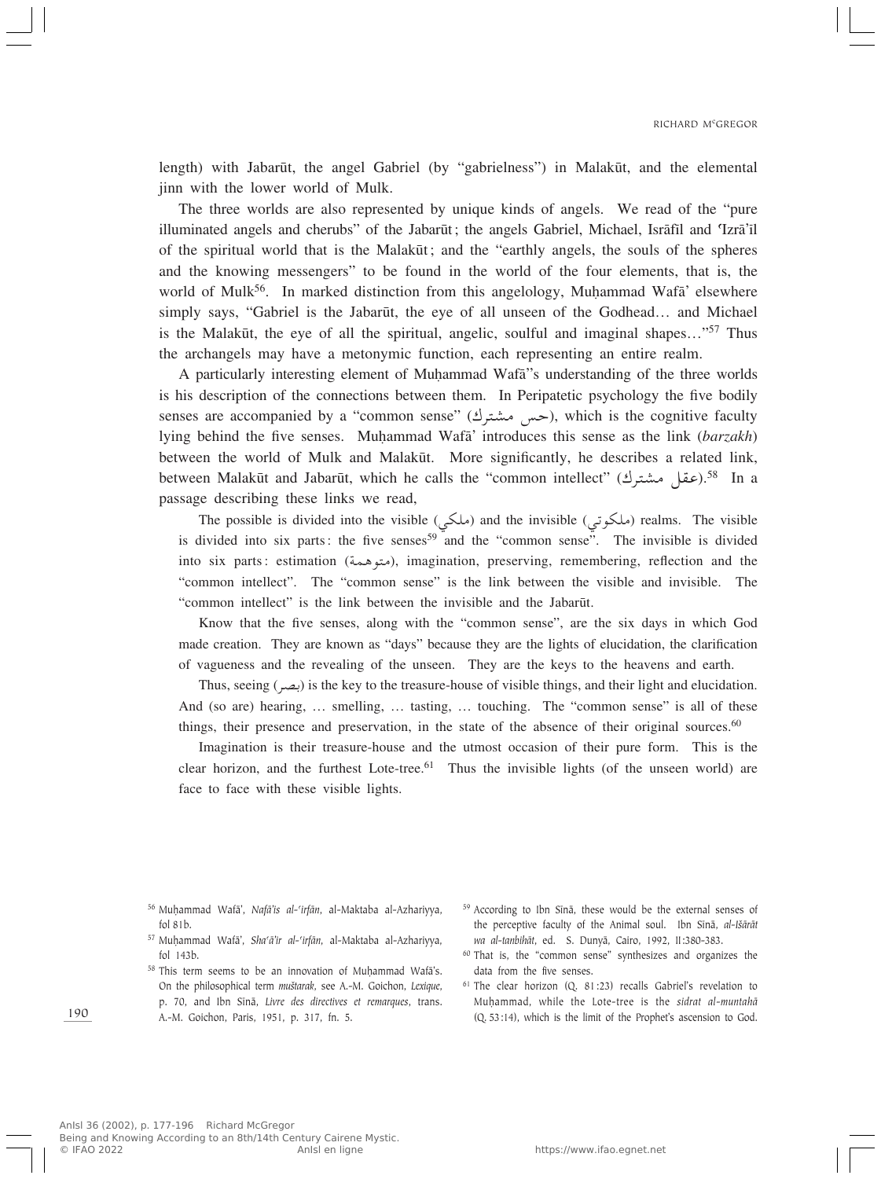length) with Jabarūt, the angel Gabriel (by "gabrielness") in Malakūt, and the elemental jinn with the lower world of Mulk.

The three worlds are also represented by unique kinds of angels. We read of the "pure illuminated angels and cherubs" of the Jabarūt; the angels Gabriel, Michael, Isrāfīl and 'Izrā'il of the spiritual world that is the Malakūt; and the "earthly angels, the souls of the spheres and the knowing messengers" to be found in the world of the four elements, that is, the world of Mulk<sup>56</sup>. In marked distinction from this angelology, Muhammad Wafa<sup>'</sup> elsewhere simply says, "Gabriel is the Jabarūt, the eye of all unseen of the Godhead... and Michael is the Malakūt, the eye of all the spiritual, angelic, soulful and imaginal shapes..."<sup>57</sup> Thus the archangels may have a metonymic function, each representing an entire realm.

A particularly interesting element of Muhammad Wafa<sup>''</sup>s understanding of the three worlds is his description of the connections between them. In Peripatetic psychology the five bodily senses are accompanied by a "common sense" (حس مشترك), which is the cognitive faculty<br>Iving behind the five senses Muhammad Wafa' introduces this sense as the link (barzakh) lying behind the five senses. Muhammad Wafa' introduces this sense as the link (*barzakh*) between the world of Mulk and Malakūt. More significantly, he describes a related link, between Malakūt and Jabarūt, which he calls the "common intellect" (عقل مشترك).<sup>58</sup> In a<br>passage describing these links we read passage describing these links we read,

The possible is divided into the visible (ملكي) and the invisible (ملكي) realms. The visible (into air norte the four normally and the incompany appeal. is divided into six parts: the five senses<sup>59</sup> and the "common sense". The invisible is divided into six parts: estimation (متوهمة), imagination, preserving, remembering, reflection and the<br>"segment intellect". The "segment server" is the light between the visible and invisible. The "common intellect". The "common sense" is the link between the visible and invisible. The "common intellect" is the link between the invisible and the Jabarūt.

Know that the five senses, along with the "common sense", are the six days in which God made creation. They are known as "days" because they are the lights of elucidation, the clarification of vagueness and the revealing of the unseen. They are the keys to the heavens and earth.

Thus, seeing  $(\infty)$  is the key to the treasure-house of visible things, and their light and elucidation. And (so are) hearing, … smelling, … tasting, … touching. The "common sense" is all of these things, their presence and preservation, in the state of the absence of their original sources.<sup>60</sup>

Imagination is their treasure-house and the utmost occasion of their pure form. This is the clear horizon, and the furthest Lote-tree.<sup>61</sup> Thus the invisible lights (of the unseen world) are face to face with these visible lights.

- <sup>56</sup> MuÌammad Wafæ', *Nafæ'is al-©irfæn*, al-Maktaba al-Azhariyya, fol 81b.
- <sup>57</sup> MuÌammad Wafæ', *Sha©æ'ir al-©irfæn*, al-Maktaba al-Azhariyya, fol 143b.
- $58$  This term seems to be an innovation of Muhammad Wafa's. On the philosophical term *mu‡tarak*, see A.-M. Goichon, *Lexique*, p. 70, and Ibn Sînæ, *Livre des directives et remarques*, trans. A.-M. Goichon, Paris, 1951, p. 317, fn. 5.
- <sup>59</sup> According to Ibn Sīnā, these would be the external senses of the perceptive faculty of the Animal soul. Ibn Sīnā, al-Išārāt *wa al-tanbihæt*, ed. S. Dunyæ, Cairo, 1992, II:380-383.
- <sup>60</sup> That is, the "common sense" synthesizes and organizes the data from the five senses.
- <sup>61</sup> The clear horizon (Q. 81:23) recalls Gabriel's revelation to MuÌammad, while the Lote-tree is the *sidrat al-muntahæ* (Q. 53:14), which is the limit of the Prophet's ascension to God.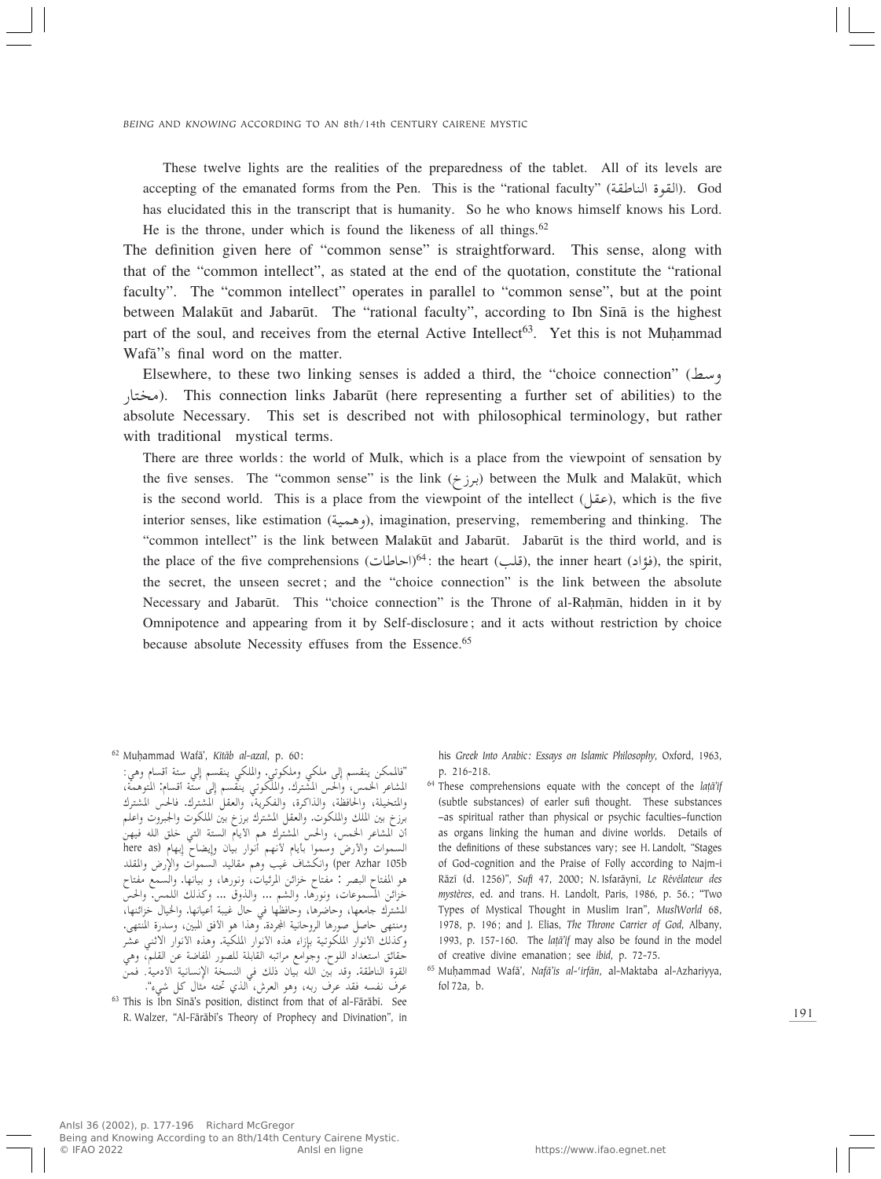These twelve lights are the realities of the preparedness of the tablet. All of its levels are accepting of the emanated forms from the Pen. This is the "rational faculty" (القوة الناطقة). God has elucidated this in the transcript that is humanity. So he who knows himself knows his Lord. He is the throne, under which is found the likeness of all things.<sup>62</sup>

The definition given here of "common sense" is straightforward. This sense, along with that of the "common intellect", as stated at the end of the quotation, constitute the "rational faculty". The "common intellect" operates in parallel to "common sense", but at the point between Malakūt and Jabarūt. The "rational faculty", according to Ibn Sīnā is the highest part of the soul, and receives from the eternal Active Intellect<sup>63</sup>. Yet this is not Muhammad Wafa"s final word on the matter.

Elsewhere, to these two linking senses is added a third, the "choice connection" (بسط absolute Necessary. This set is described not with philosophical terminology, but rather<br>absolute Necessary. This set is described not with philosophical terminology, but rather ). This connection links Jabarºt (here representing a further set of abilities) to the with traditional mystical terms.

There are three worlds: the world of Mulk, which is a place from the viewpoint of sensation by the five senses. The "common sense" is the link (برزخ) between the Mulk and Malakūt, which is the second world. This is a place from the viewpoint of the intellect  $($ عقل), which is the five interior senses, like estimation (WOL¼Ë), imagination, preserving, remembering and thinking. The "common intellect" is the link between Malakūt and Jabarūt. Jabarūt is the third world, and is the place of the five comprehensions (الخاطات)<sup>64</sup>: the heart (قواد), the inner heart (فواد), the spirit,<br>the second the wesser espects and the "shairs expression" is the link hetaves the shacked the secret, the unseen secret; and the "choice connection" is the link between the absolute Necessary and Jabarūt. This "choice connection" is the Throne of al-Rahmān, hidden in it by Omnipotence and appearing from it by Self-disclosure; and it acts without restriction by choice because absolute Necessity effuses from the Essence.<sup>65</sup>

<sup>62</sup> MuÌammad Wafæ', *Kitæb al-azal*, p. 60:

″فالممكن ينقسم إلى ملكي وملكوتي. والملكي ينقسم إلى ستة أقسام وهي:<br>العدل على العلم المشاعر الخمس، والحس المُشترك. والملكوتي ينقسم إلى ستّة أقسام: المتوهمة،<br>وإلى من العالمين الفاتونية والمتخيلة، والحافظة، والذاكرة، والفكرية، والعقل المشترك فالحس المشترك برزخ بين الملك والملكوت. والعقل المشترك برزخ بيّن الملكوت والجبروّت واعلّم ان المشاعر الخمس، والحس المشترك هم الأيام الستة التبي خلق الله فيهن السموات والأرض وسموا بأيام لأنهم أنوار بيان وإيضاحٌ إبهام (here as per Azhar 105b) وانكشاف غيب وهم مقاليد السموات والإرض والمقلد<br>المدار السيد المصدر المصدر العماري هو المفتاح البصر : مفتاح خزائن المرئيات، ونورها، و بيانها. والسمع مفتاح<br>مراتب بل المسلم خزائن المسموعات، ونورها. والشم ... والذوق ... وكذلك اللمس. والحسّ المشترك جامعها، وحاضرها، وحافظها في حال غيبة أعيانها. والخيال خزائنها،<br>المشترك ومنتهى حاصل صورها الروحانية المجردة. وهذا هو الأفق المبين، وسدرة المنتهى.<br>خزبان الثعبات المرجعة ب وكذلك الأنوار الملكوتية بإزاء هذه الأنوار الملكية. وهذه الأنوار الاثنبي عشر حقائق استعداد اللوح. وجوامع مراتبه القابلة للصور المفاضة عن القلم، وهي<br>«حقائق استعداد اللوح. و:: sL ÆWO-œ\_« WO½U ½ù« W M« w p– ÊUOÐ tK« 5Ð b <sup>Ë</sup> .WIÞUM« …uI« عرف نفسه فقد عرف ربه، وهو العرش، ْالذي تحته مثال كل شيء".

<sup>63</sup> This is Ibn Sīnā's position, distinct from that of al-Fārābī. See R. Walzer, "Al-Færæbî's Theory of Prophecy and Divination", in his *Greek Into Arabic: Essays on Islamic Philosophy*, Oxford, 1963, p. 216-218.

<sup>64</sup> These comprehensions equate with the concept of the *la†æ'if* (subtle substances) of earler sufi thought. These substances –as spiritual rather than physical or psychic faculties–function as organs linking the human and divine worlds. Details of the definitions of these substances vary; see H. Landolt, "Stages of God-cognition and the Praise of Folly according to Najm-i Ræzî (d. 1256)", *Sufi* 47, 2000; N. Isfaræynî, *Le Révélateur des mystères*, ed. and trans. H. Landolt, Paris, 1986, p. 56.; "Two Types of Mystical Thought in Muslim Iran", *MuslWorld* 68, 1978, p. 196; and J. Elias, *The Throne Carrier of God*, Albany, 1993, p. 157-160. The *la†æ'if* may also be found in the model of creative divine emanation; see *ibid*, p. 72-75.

<sup>65</sup> MuÌammad Wafæ', *Nafæ'is al-©irfæn*, al-Maktaba al-Azhariyya, fol 72a, b.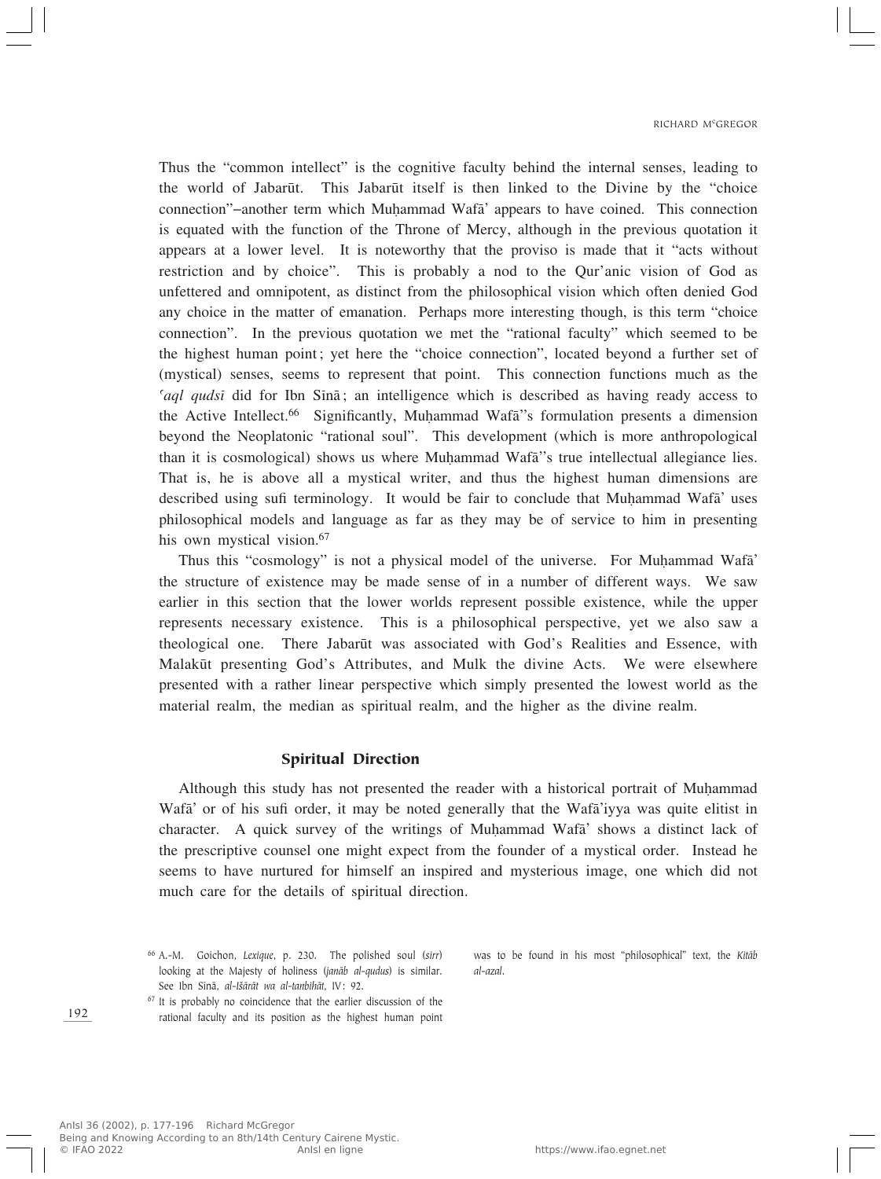Thus the "common intellect" is the cognitive faculty behind the internal senses, leading to the world of Jabarūt. This Jabarūt itself is then linked to the Divine by the "choice" connection"–another term which Muhammad Wafa<sup>†</sup> appears to have coined. This connection is equated with the function of the Throne of Mercy, although in the previous quotation it appears at a lower level. It is noteworthy that the proviso is made that it "acts without restriction and by choice". This is probably a nod to the Qur'anic vision of God as unfettered and omnipotent, as distinct from the philosophical vision which often denied God any choice in the matter of emanation. Perhaps more interesting though, is this term "choice connection". In the previous quotation we met the "rational faculty" which seemed to be the highest human point; yet here the "choice connection", located beyond a further set of (mystical) senses, seems to represent that point. This connection functions much as the *Caql qudsi* did for Ibn Sina; an intelligence which is described as having ready access to the Active Intellect.<sup>66</sup> Significantly, Muhammad Wafa<sup>7</sup>'s formulation presents a dimension beyond the Neoplatonic "rational soul". This development (which is more anthropological than it is cosmological) shows us where Muhammad Wafa<sup>"</sup>s true intellectual allegiance lies. That is, he is above all a mystical writer, and thus the highest human dimensions are described using sufi terminology. It would be fair to conclude that Muhammad Wafa' uses philosophical models and language as far as they may be of service to him in presenting his own mystical vision.<sup>67</sup>

Thus this "cosmology" is not a physical model of the universe. For Muhammad Wafa" the structure of existence may be made sense of in a number of different ways. We saw earlier in this section that the lower worlds represent possible existence, while the upper represents necessary existence. This is a philosophical perspective, yet we also saw a theological one. There Jabarūt was associated with God's Realities and Essence, with Malakūt presenting God's Attributes, and Mulk the divine Acts. We were elsewhere presented with a rather linear perspective which simply presented the lowest world as the material realm, the median as spiritual realm, and the higher as the divine realm.

### Spiritual Direction

Although this study has not presented the reader with a historical portrait of Muhammad Wafa' or of his sufi order, it may be noted generally that the Wafa'iyya was quite elitist in character. A quick survey of the writings of Muhammad Wafa' shows a distinct lack of the prescriptive counsel one might expect from the founder of a mystical order. Instead he seems to have nurtured for himself an inspired and mysterious image, one which did not much care for the details of spiritual direction.

<sup>67</sup> It is probably no coincidence that the earlier discussion of the rational faculty and its position as the highest human point

was to be found in his most "philosophical" text, the *Kitæb al-azal*.

<sup>66</sup> A.-M. Goichon, *Lexique*, p. 230. The polished soul (*sirr*) looking at the Majesty of holiness (*janæb al-qudus*) is similar. See Ibn Sīnā, al-Išārāt wa al-tanbihāt, IV: 92.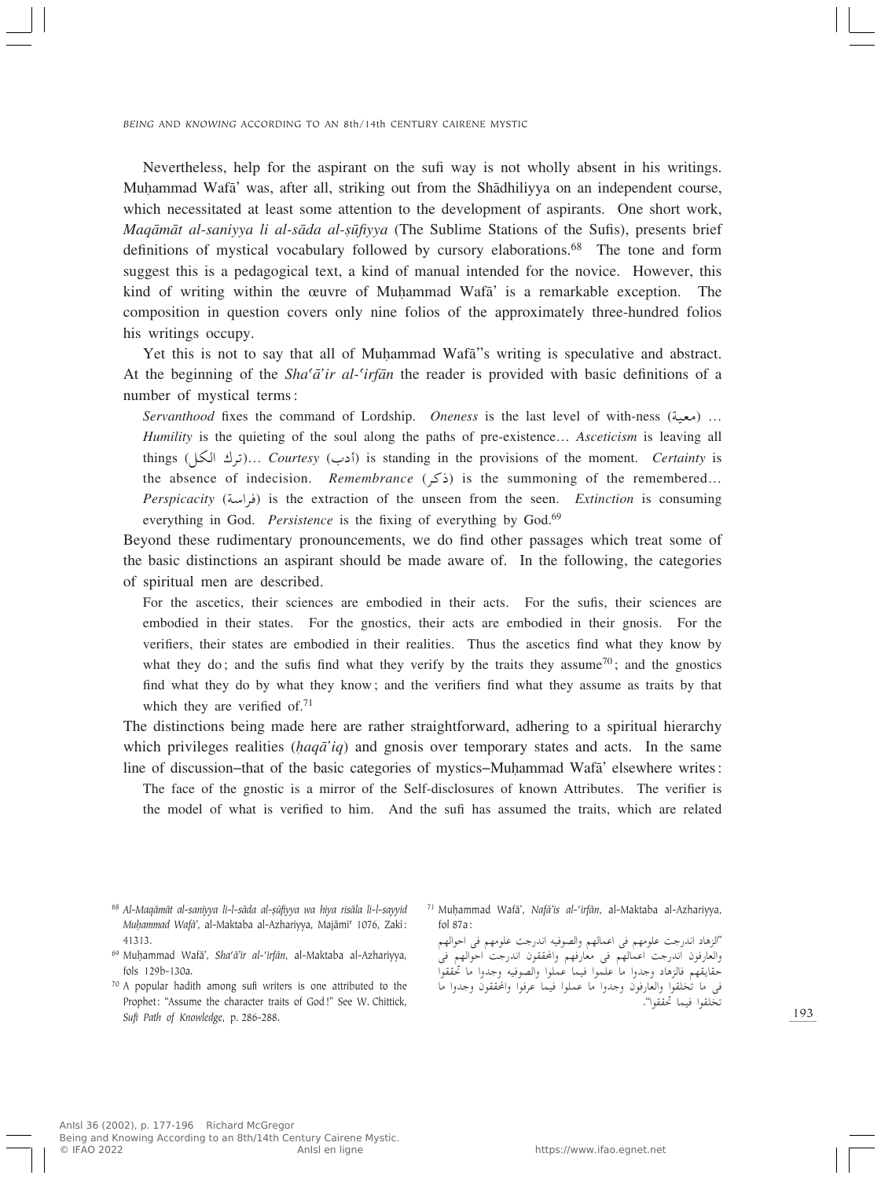Nevertheless, help for the aspirant on the sufi way is not wholly absent in his writings. Muhammad Wafa' was, after all, striking out from the Shadhiliyya on an independent course, which necessitated at least some attention to the development of aspirants. One short work, *Maqāmāt al-saniyya li al-sāda al-sūfiyya* (The Sublime Stations of the Sufis), presents brief definitions of mystical vocabulary followed by cursory elaborations.<sup>68</sup> The tone and form suggest this is a pedagogical text, a kind of manual intended for the novice. However, this kind of writing within the œuvre of Muhammad Wafa' is a remarkable exception. The composition in question covers only nine folios of the approximately three-hundred folios his writings occupy.

Yet this is not to say that all of Muhammad Wafa<sup>''</sup>s writing is speculative and abstract. At the beginning of the *Sha©æ'ir al-©irfæn* the reader is provided with basic definitions of a number of mystical terms:

*Servanthood* fixes the command of Lordship. *Oneness* is the last level of with-ness (سعية) …<br>*المصنعة عن المصنعة المصنعة المصنعة المصنعة المصنعة المصنعة المصنعة المصنعة المصنعة المصنعة المصنعة المصنعة المصنعة Humility* is the quieting of the soul along the paths of pre-existence… *Asceticism* is leaving all things (أخرك الكلّ)… *Courtesy* (أذب) is standing in the provisions of the moment. *Certainty* is the absence of indecision. *Remembrance* ( $\zeta$ ) is the summoning of the remembered... *Perspicacity* (Wݫd) is the extraction of the unseen from the seen. *Extinction* is consuming everything in God. *Persistence* is the fixing of everything by God.<sup>69</sup>

Beyond these rudimentary pronouncements, we do find other passages which treat some of the basic distinctions an aspirant should be made aware of. In the following, the categories of spiritual men are described.

For the ascetics, their sciences are embodied in their acts. For the sufis, their sciences are embodied in their states. For the gnostics, their acts are embodied in their gnosis. For the verifiers, their states are embodied in their realities. Thus the ascetics find what they know by what they do; and the sufis find what they verify by the traits they assume<sup>70</sup>; and the gnostics find what they do by what they know; and the verifiers find what they assume as traits by that which they are verified of. $71$ 

The distinctions being made here are rather straightforward, adhering to a spiritual hierarchy which privileges realities (*haqā'iq*) and gnosis over temporary states and acts. In the same line of discussion–that of the basic categories of mystics–Muhammad Wafa' elsewhere writes:

The face of the gnostic is a mirror of the Self-disclosures of known Attributes. The verifier is the model of what is verified to him. And the sufi has assumed the traits, which are related

- <sup>69</sup> MuÌammad Wafæ', *Sha©æ'ir al-©irfæn*, al-Maktaba al-Azhariyya, fols 129b-130a.
- <sup>70</sup> A popular hadith among sufi writers is one attributed to the Prophet: "Assume the character traits of God!" See W. Chittick, *Sufi Path of Knowledge*, p. 286-288.
- <sup>71</sup> Muḥammad Wafā', *Nafā'is al-'irfān*, al-Maktaba al-Azhariyya, fol 87a:

"الزهاد اندرجت علومهم في اعمالهم والصوفيه اندرجت علومهم في احوالهم<br>" با بند بايد والعارفون الدرجب الحمالهم في معارفهم والحققون الدرجب احوالهم في<br>معامدة السياسية حقايقهم فالزهاد وجدوا ما علموا فيما عملوا والصوفية وجدوا ما حققوا في ما يحتفوا والعارفون وجدوا ما عملوا فيما عرفوا والحققون وجدوا ما<br>مساحيات التعتبان تخلقوا فيما تحققوا".

<sup>68</sup> *Al-Maqæmæt al-saniyya li-l-sæda al-Òºfiyya wa hiya risæla li-l-sayyid Muḥammad Wafā'*, al-Maktaba al-Azhariyya, Majāmī<sup>c</sup> 1076, Zakī: 41313.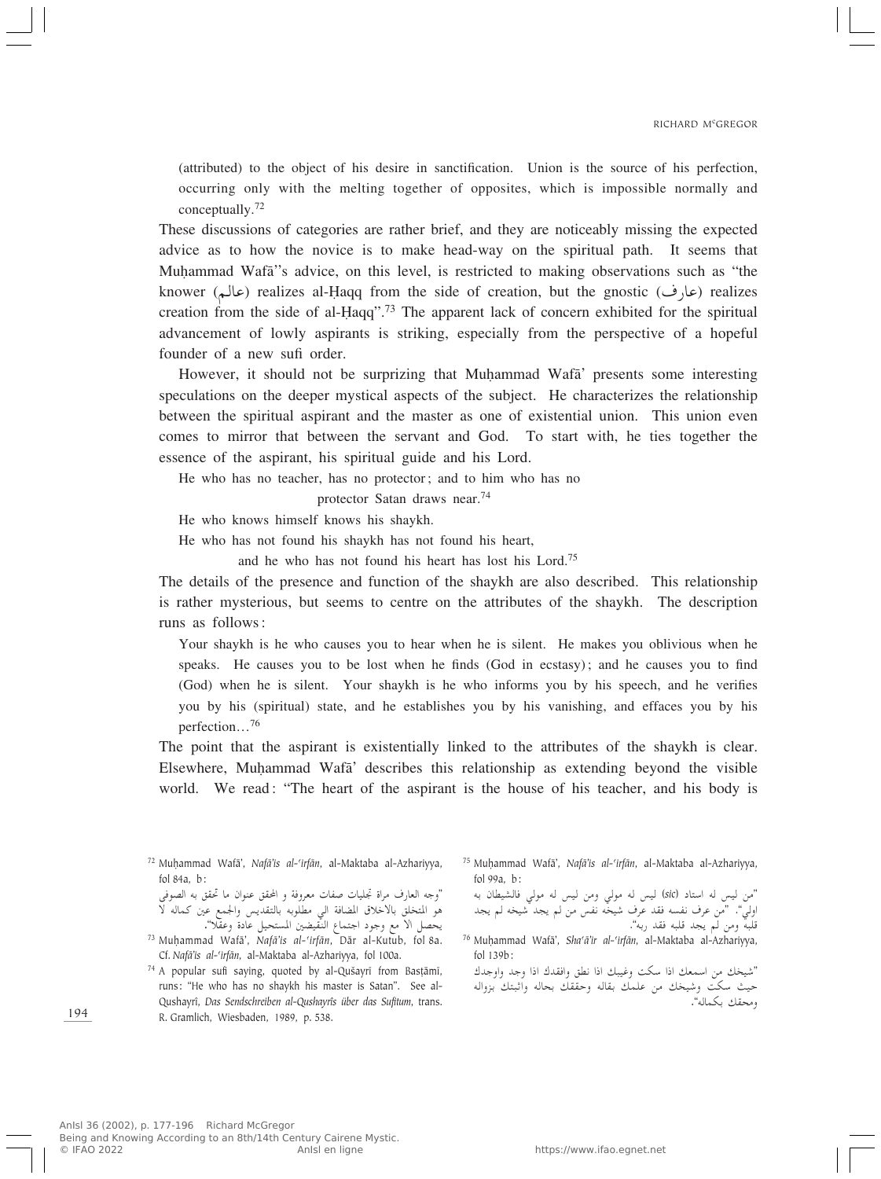(attributed) to the object of his desire in sanctification. Union is the source of his perfection, occurring only with the melting together of opposites, which is impossible normally and conceptually.<sup>72</sup>

These discussions of categories are rather brief, and they are noticeably missing the expected advice as to how the novice is to make head-way on the spiritual path. It seems that Muhammad Wafa<sup>''</sup>s advice, on this level, is restricted to making observations such as "the knower (عالم) realizes al-Haqq from the side of creation, but the gnostic (عالم) realizes creation from the side of al-Haqq".<sup>73</sup> The apparent lack of concern exhibited for the spiritual advancement of lowly aspirants is striking, especially from the perspective of a hopeful founder of a new sufi order.

However, it should not be surprizing that Muhammad Wafa' presents some interesting speculations on the deeper mystical aspects of the subject. He characterizes the relationship between the spiritual aspirant and the master as one of existential union. This union even comes to mirror that between the servant and God. To start with, he ties together the essence of the aspirant, his spiritual guide and his Lord.

He who has no teacher, has no protector; and to him who has no

protector Satan draws near.<sup>74</sup>

He who knows himself knows his shaykh.

He who has not found his shaykh has not found his heart,

and he who has not found his heart has lost his Lord.75

The details of the presence and function of the shaykh are also described. This relationship is rather mysterious, but seems to centre on the attributes of the shaykh. The description runs as follows:

Your shaykh is he who causes you to hear when he is silent. He makes you oblivious when he speaks. He causes you to be lost when he finds (God in ecstasy); and he causes you to find (God) when he is silent. Your shaykh is he who informs you by his speech, and he verifies you by his (spiritual) state, and he establishes you by his vanishing, and effaces you by his perfection…<sup>76</sup>

The point that the aspirant is existentially linked to the attributes of the shaykh is clear. Elsewhere, MuÌammad Wafæ' describes this relationship as extending beyond the visible world. We read: "The heart of the aspirant is the house of his teacher, and his body is

<sup>72</sup> MuÌammad Wafæ', *Nafæ'is al-©irfæn*, al-Maktaba al-Azhariyya, fol 84a, b:

"وجه العارف مراة مجليات صفات معروفة و المحقق عنوان ما محقق به الصوفي<br>العمل العلم العملية على انقلاب العمليات العملية هو المتخلق بالاخلاق المضافة الي مطلوبه بالتقديس والجمع عين كماله لا<br>سلمان الملمون يحصل الا مع وجود اجتماع النَّقيضين المستحيل عادة وعقَّلا".

 $74$  A popular sufi saying, quoted by al-Qušayrī from Basțāmī, runs: "He who has no shaykh his master is Satan". See al-Qushayrî, *Das Sendschreiben al-Qushayrîs über das Sufitum*, trans. R. Gramlich, Wiesbaden, 1989, p. 538.

<sup>75</sup> Muḥammad Wafā', *Nafā'is al-'irfān*, al-Maktaba al-Azhariyya, fol 99a, b:

نمن ليس له استاد (sic) ليس له مولي ومن ليس له مولي فالشيطان به<br>پس " ولي". "من عرف نفسه فقد عرف شيخه نفس من لم يجد شيخه لم يجد<br>تاريخ قلبه ومن لم يجد قلبه فقد ربه".<br>. . . . . . . . . . . . . .

<sup>76</sup> MuÌammad Wafæ', *Sha©æ'ir al-©irfæn*, al-Maktaba al-Azhariyya, fol 139b:

"błË«Ë błË «–« "bI«Ë oD½ «–« p³OžË XJÝ «–« pFLÝ« s- pOý" حیب سکت وسیحک من علمک بقاله وحفقک بحاله وانبتک بزواله<br>میان کے الله ومحقك بكماله".

<sup>&</sup>lt;sup>73</sup> Muhammad Wafā', *Nafā'is al-'irfān*, Dār al-Kutub, fol 8a. Cf. *Nafæ'is al-©irfæn*, al-Maktaba al-Azhariyya, fol 100a.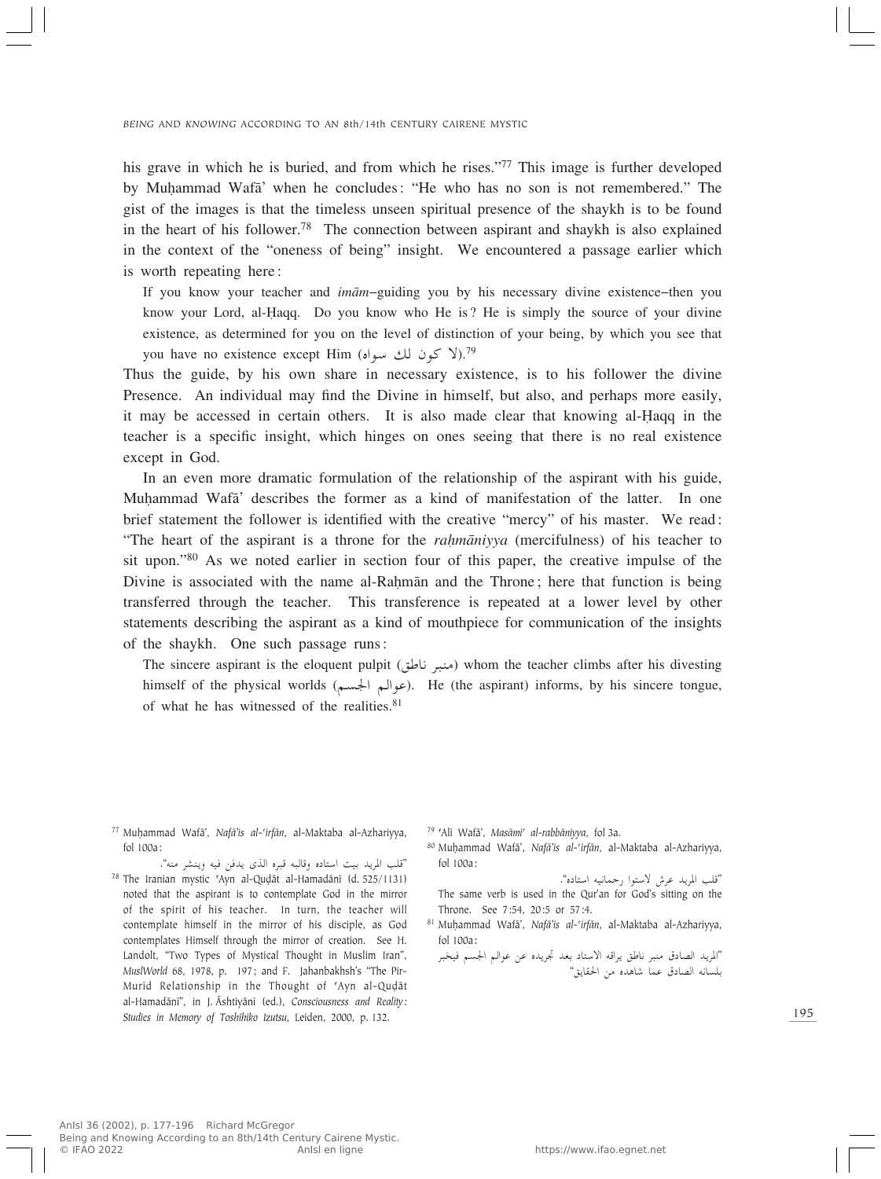his grave in which he is buried, and from which he rises."<sup>77</sup> This image is further developed by MuÌammad Wafæ' when he concludes: "He who has no son is not remembered." The gist of the images is that the timeless unseen spiritual presence of the shaykh is to be found in the heart of his follower.78 The connection between aspirant and shaykh is also explained in the context of the "oneness of being" insight. We encountered a passage earlier which is worth repeating here:

If you know your teacher and *imæm*–guiding you by his necessary divine existence–then you know your Lord, al-Îaqq. Do you know who He is? He is simply the source of your divine existence, as determined for you on the level of distinction of your being, by which you see that you have no existence except Him (کون لك سواه).<sup>79</sup>

Thus the guide, by his own share in necessary existence, is to his follower the divine Presence. An individual may find the Divine in himself, but also, and perhaps more easily, it may be accessed in certain others. It is also made clear that knowing al-Haqq in the teacher is a specific insight, which hinges on ones seeing that there is no real existence except in God.

In an even more dramatic formulation of the relationship of the aspirant with his guide, Muhammad Wafa' describes the former as a kind of manifestation of the latter. In one brief statement the follower is identified with the creative "mercy" of his master. We read: "The heart of the aspirant is a throne for the *rahmaniyya* (mercifulness) of his teacher to sit upon."80 As we noted earlier in section four of this paper, the creative impulse of the Divine is associated with the name al-Rahman and the Throne; here that function is being transferred through the teacher. This transference is repeated at a lower level by other statements describing the aspirant as a kind of mouthpiece for communication of the insights of the shaykh. One such passage runs:

The sincere aspirant is the eloquent pulpit (oÞU½ d³M-) whom the teacher climbs after his divesting himself of the physical worlds (عوالم الجسم). He (the aspirant) informs, by his sincere tongue, of what he has witnessed of the realities. $81$ 

<sup>77</sup> MuÌammad Wafæ', *Nafæ'is al-©irfæn*, al-Maktaba al-Azhariyya, fol 100a:

"قلب المريد بيت استاده وقالبه قبره الذي يدفن فيه وينشر منه".<br>((۱۱۵۱–۱۲۵۰) - -ا <sup>78</sup> The Iranian mystic 'Ayn al-Quḍāt al-Hamadānī (d. 525/1131) noted that the aspirant is to contemplate God in the mirror of the spirit of his teacher. In turn, the teacher will contemplate himself in the mirror of his disciple, as God contemplates Himself through the mirror of creation. See H. Landolt, "Two Types of Mystical Thought in Muslim Iran", *MuslWorld* 68, 1978, p. 197; and F. Jahanbakhsh's "The Pir-Murīd Relationship in the Thought of 'Ayn al-Quḍāt al-Hamadænî", in J. Æshtiyænî (ed.), *Consciousness and Reality: Studies in Memory of Toshihiko Izutsu*, Leiden, 2000, p. 132.

<sup>79</sup> ©Alî Wafæ', *Masæmi© al-rabbæniyya*, fol 3a.

80 Muhammad Wafā', *Nafā'is al-'irfān*, al-Maktaba al-Azhariyya, fol 100a:

"قلب المريد عرش لاستوا رحمانيه استاده".<br>- ان

The same verb is used in the Qur'an for God's sitting on the Throne. See 7:54, 20:5 or 57:4.

- 81 Muḥammad Wafā', *Nafā'is al-'irfān*, al-Maktaba al-Azhariyya, fol 100a:
	- ''المريد الصادق منبر ناطق يراقه الاستاد بعد تجريده عن عوالم الجسم فيخبر<br>اسف السنة الصادق بلسانه الصادق عما شاهده من الحقايق"